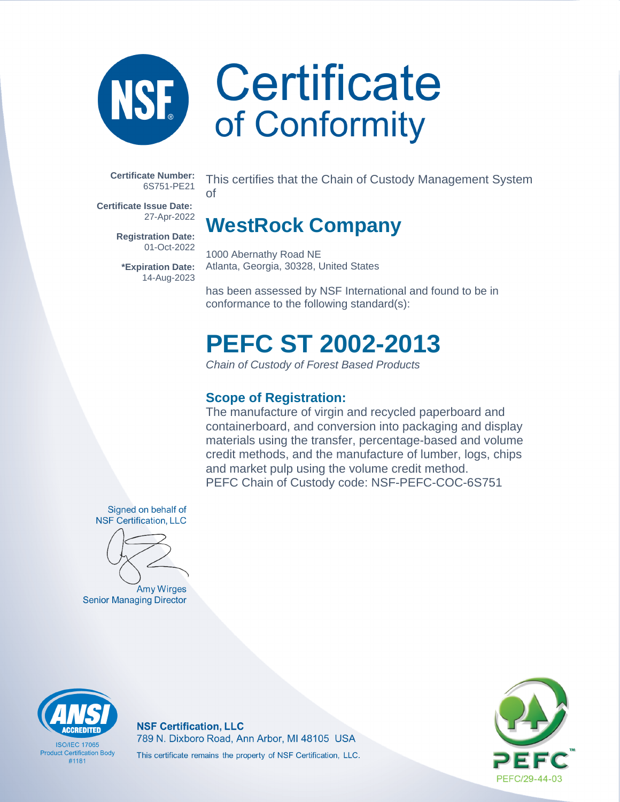

### Certificate of Conformity

**Certificate Number:** 6S751-PE21

**Certificate Issue Date:** 27-Apr-2022

> **Registration Date:** 01-Oct-2022

**\*Expiration Date:** 14-Aug-2023

This certifies that the Chain of Custody Management System of

### **WestRock Company**

1000 Abernathy Road NE Atlanta, Georgia, 30328, United States

has been assessed by NSF International and found to be in conformance to the following standard(s):

### **PEFC ST 2002-2013**

Chain of Custody of Forest Based Products

### **Scope of Registration:**

The manufacture of virgin and recycled paperboard and containerboard, and conversion into packaging and display materials using the transfer, percentage-based and volume credit methods, and the manufacture of lumber, logs, chips and market pulp using the volume credit method. PEFC Chain of Custody code: NSF-PEFC-COC-6S751

Signed on behalf of **NSF Certification, LLC** 



Amy Wirges **Senior Managing Director** 



**ISO/IFC 17065 Product Certification Body** #1181

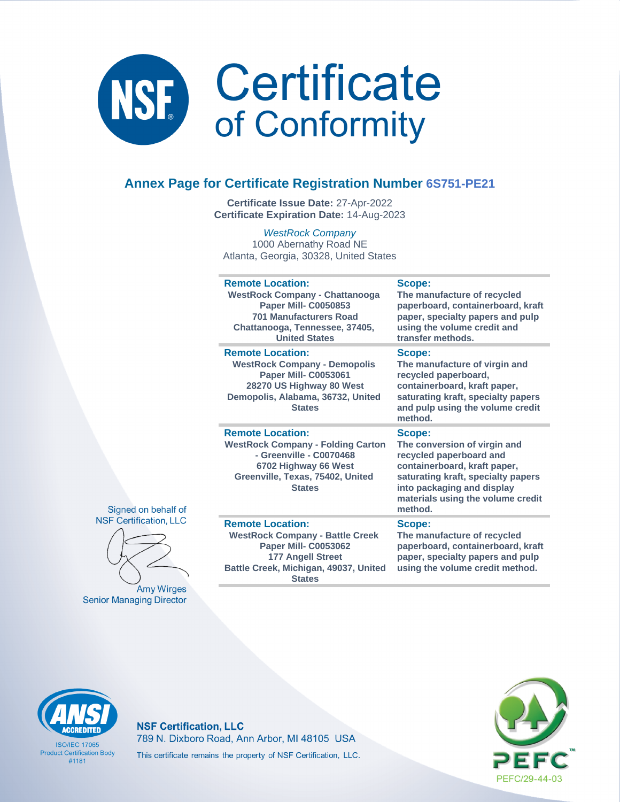

### **Annex Page for Certificate Registration Number 6S751-PE21**

**Certificate Issue Date:** 27-Apr-2022 **Certificate Expiration Date:** 14-Aug-2023

WestRock Company 1000 Abernathy Road NE Atlanta, Georgia, 30328, United States

| <b>Remote Location:</b>                                                                                                                                                     | Scope:                                                                                                                                                                                                                |
|-----------------------------------------------------------------------------------------------------------------------------------------------------------------------------|-----------------------------------------------------------------------------------------------------------------------------------------------------------------------------------------------------------------------|
| <b>WestRock Company - Chattanooga</b>                                                                                                                                       | The manufacture of recycled                                                                                                                                                                                           |
| <b>Paper Mill- C0050853</b>                                                                                                                                                 | paperboard, containerboard, kraft                                                                                                                                                                                     |
| <b>701 Manufacturers Road</b>                                                                                                                                               | paper, specialty papers and pulp                                                                                                                                                                                      |
| Chattanooga, Tennessee, 37405,                                                                                                                                              | using the volume credit and                                                                                                                                                                                           |
| <b>United States</b>                                                                                                                                                        | transfer methods.                                                                                                                                                                                                     |
| <b>Remote Location:</b><br><b>WestRock Company - Demopolis</b><br>Paper Mill- C0053061<br>28270 US Highway 80 West<br>Demopolis, Alabama, 36732, United<br><b>States</b>    | Scope:<br>The manufacture of virgin and<br>recycled paperboard,<br>containerboard, kraft paper,<br>saturating kraft, specialty papers<br>and pulp using the volume credit<br>method.                                  |
| <b>Remote Location:</b><br><b>WestRock Company - Folding Carton</b><br>- Greenville - C0070468<br>6702 Highway 66 West<br>Greenville, Texas, 75402, United<br><b>States</b> | Scope:<br>The conversion of virgin and<br>recycled paperboard and<br>containerboard, kraft paper,<br>saturating kraft, specialty papers<br>into packaging and display<br>materials using the volume credit<br>method. |
| <b>Remote Location:</b>                                                                                                                                                     | Scope:                                                                                                                                                                                                                |
| <b>WestRock Company - Battle Creek</b>                                                                                                                                      | The manufacture of recycled                                                                                                                                                                                           |

### Signed on behalf of **NSF Certification, LLC**



**Amy Wirges Senior Managing Director** 

**WestRock Company - Battle Creek Paper Mill- C0053062 177 Angell Street Battle Creek, Michigan, 49037, United States**

**The manufacture of recycled paperboard, containerboard, kraft paper, specialty papers and pulp using the volume credit method.**



**ISO/IFC 17065 Product Certification Body** #1181

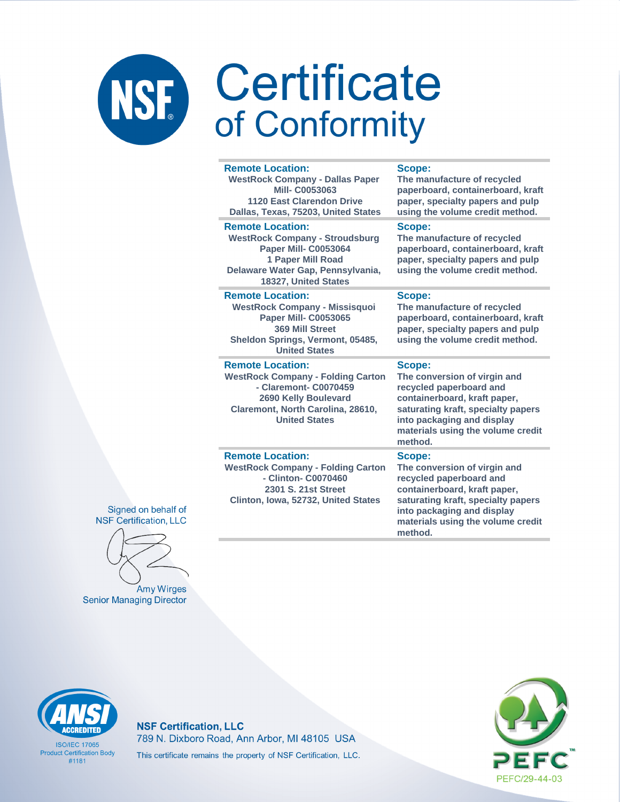### **Certificate** NSF of Conformity

### **Remote Location: WestRock Company - Dallas Paper Mill- C0053063**

**1120 East Clarendon Drive Dallas, Texas, 75203, United States**

### **Remote Location:**

**WestRock Company - Stroudsburg Paper Mill- C0053064 1 Paper Mill Road Delaware Water Gap, Pennsylvania, 18327, United States**

### **Remote Location:**

**WestRock Company - Missisquoi Paper Mill- C0053065 369 Mill Street Sheldon Springs, Vermont, 05485, United States**

### **Remote Location:**

**WestRock Company - Folding Carton - Claremont- C0070459 2690 Kelly Boulevard Claremont, North Carolina, 28610, United States**

### **Remote Location:**

**WestRock Company - Folding Carton - Clinton- C0070460 2301 S. 21st Street Clinton, Iowa, 52732, United States**

### **Scope:**

**The manufacture of recycled paperboard, containerboard, kraft paper, specialty papers and pulp using the volume credit method.**

### **Scope:**

**The manufacture of recycled paperboard, containerboard, kraft paper, specialty papers and pulp using the volume credit method.**

### **Scope:**

**The manufacture of recycled paperboard, containerboard, kraft paper, specialty papers and pulp using the volume credit method.**

### **Scope:**

**The conversion of virgin and recycled paperboard and containerboard, kraft paper, saturating kraft, specialty papers into packaging and display materials using the volume credit method.**

### **Scope:**

**The conversion of virgin and recycled paperboard and containerboard, kraft paper, saturating kraft, specialty papers into packaging and display materials using the volume credit method.**

Signed on behalf of **NSF Certification, LLC** 

**Amy Wirges Senior Managing Director** 



**ISO/IFC 17065 Product Certification Body** #1181

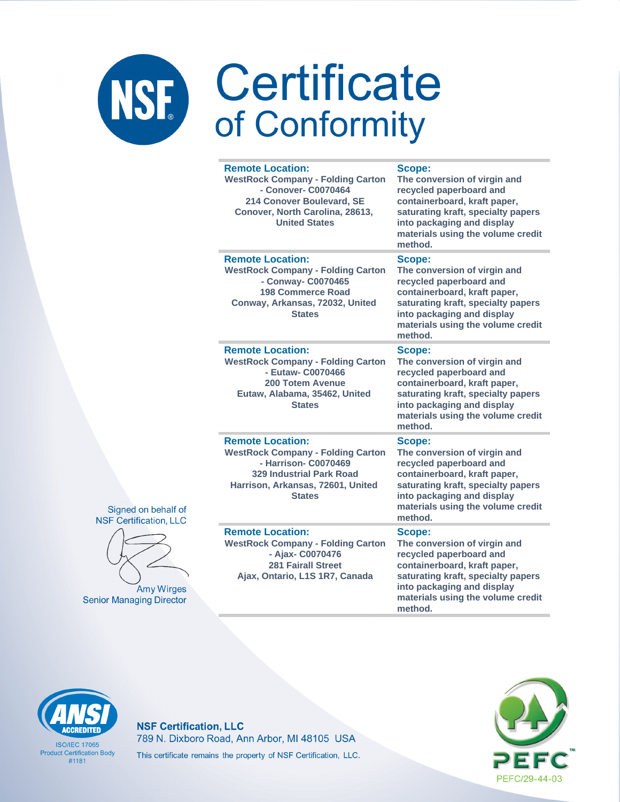|          | <b>Remote Location:</b><br><b>WestRock Company - Folding Carton</b><br>- Conover- C0070464<br>214 Conover Boulevard, SE<br>Conover, North Carolina, 28613,<br><b>United States</b>   | Scope:<br>The conversion of virgin and<br>recycled paperboard and<br>containerboard, kraft paper,<br>saturating kraft, specialty papers<br>into packaging and display<br>materials using the volume credit<br>method. |
|----------|--------------------------------------------------------------------------------------------------------------------------------------------------------------------------------------|-----------------------------------------------------------------------------------------------------------------------------------------------------------------------------------------------------------------------|
|          | <b>Remote Location:</b><br><b>WestRock Company - Folding Carton</b><br>- Conway- C0070465<br><b>198 Commerce Road</b><br>Conway, Arkansas, 72032, United<br><b>States</b>            | Scope:<br>The conversion of virgin and<br>recycled paperboard and<br>containerboard, kraft paper,<br>saturating kraft, specialty papers<br>into packaging and display<br>materials using the volume credit<br>method. |
|          | <b>Remote Location:</b><br><b>WestRock Company - Folding Carton</b><br>- Eutaw- C0070466<br><b>200 Totem Avenue</b><br>Eutaw, Alabama, 35462, United<br><b>States</b>                | Scope:<br>The conversion of virgin and<br>recycled paperboard and<br>containerboard, kraft paper,<br>saturating kraft, specialty papers<br>into packaging and display<br>materials using the volume credit<br>method. |
| of<br>.C | <b>Remote Location:</b><br><b>WestRock Company - Folding Carton</b><br>- Harrison- C0070469<br><b>329 Industrial Park Road</b><br>Harrison, Arkansas, 72601, United<br><b>States</b> | Scope:<br>The conversion of virgin and<br>recycled paperboard and<br>containerboard, kraft paper,<br>saturating kraft, specialty papers<br>into packaging and display<br>materials using the volume credit<br>method. |
| ЭS<br>or | <b>Remote Location:</b><br><b>WestRock Company - Folding Carton</b><br>- Ajax- C0070476<br><b>281 Fairall Street</b><br>Ajax, Ontario, L1S 1R7, Canada                               | Scope:<br>The conversion of virgin and<br>recycled paperboard and<br>containerboard, kraft paper,<br>saturating kraft, specialty papers<br>into packaging and display<br>materials using the volume credit<br>method. |





Amy Wirg **Senior Managing Direct** 

# **ACCREDITED**

**ISO/IEC 17065 Product Certification Body**  $#1181$ 

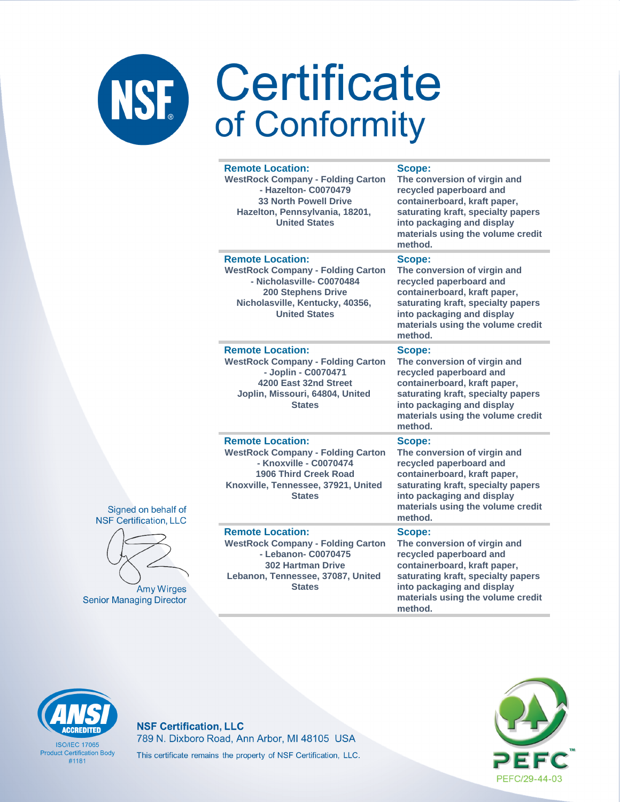|   | <b>Remote Location:</b><br><b>WestRock Company - Folding Carton</b><br>- Hazelton- C0070479<br><b>33 North Powell Drive</b><br>Hazelton, Pennsylvania, 18201,<br><b>United States</b>    | Scope:<br>The conversion of virgin and<br>recycled paperboard and<br>containerboard, kraft paper,<br>saturating kraft, specialty papers<br>into packaging and display<br>materials using the volume credit<br>method. |
|---|------------------------------------------------------------------------------------------------------------------------------------------------------------------------------------------|-----------------------------------------------------------------------------------------------------------------------------------------------------------------------------------------------------------------------|
|   | <b>Remote Location:</b><br><b>WestRock Company - Folding Carton</b><br>- Nicholasville- C0070484<br><b>200 Stephens Drive</b><br>Nicholasville, Kentucky, 40356,<br><b>United States</b> | Scope:<br>The conversion of virgin and<br>recycled paperboard and<br>containerboard, kraft paper,<br>saturating kraft, specialty papers<br>into packaging and display<br>materials using the volume credit<br>method. |
|   | <b>Remote Location:</b><br><b>WestRock Company - Folding Carton</b><br>- Joplin - C0070471<br>4200 East 32nd Street<br>Joplin, Missouri, 64804, United<br><b>States</b>                  | Scope:<br>The conversion of virgin and<br>recycled paperboard and<br>containerboard, kraft paper,<br>saturating kraft, specialty papers<br>into packaging and display<br>materials using the volume credit<br>method. |
| f | <b>Remote Location:</b><br><b>WestRock Company - Folding Carton</b><br>- Knoxville - C0070474<br><b>1906 Third Creek Road</b><br>Knoxville, Tennessee, 37921, United<br><b>States</b>    | Scope:<br>The conversion of virgin and<br>recycled paperboard and<br>containerboard, kraft paper,<br>saturating kraft, specialty papers<br>into packaging and display<br>materials using the volume credit<br>method. |
|   | <b>Remote Location:</b><br><b>WestRock Company - Folding Carton</b><br>- Lebanon- C0070475<br><b>302 Hartman Drive</b><br>Lebanon, Tennessee, 37087, United<br><b>States</b>             | Scope:<br>The conversion of virgin and<br>recycled paperboard and<br>containerboard, kraft paper,<br>saturating kraft, specialty papers<br>into packaging and display<br>materials using the volume credit<br>method. |





**Amy Wirges Senior Managing Director** 

# **ACCREDITED**

**ISO/IEC 17065 Product Certification Body**  $#1181$ 

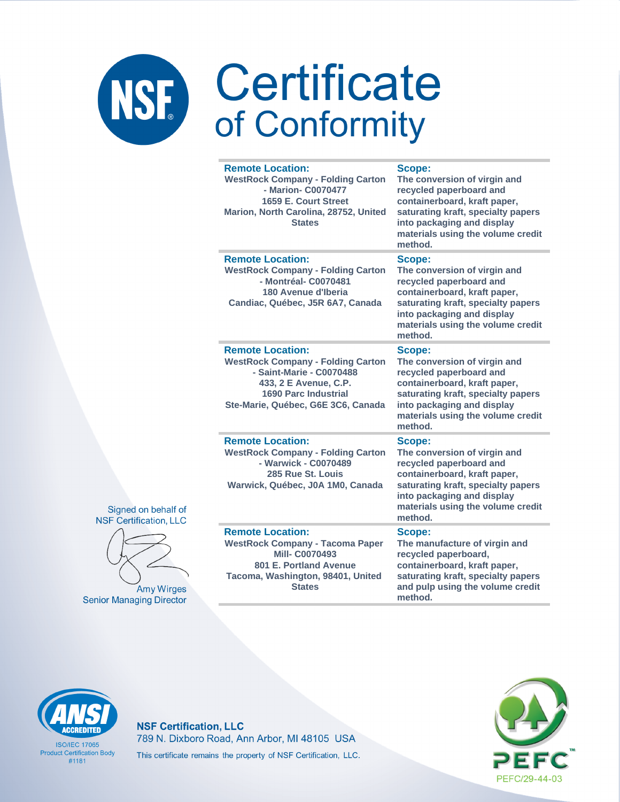| <b>Remote Location:</b><br><b>WestRock Company - Folding Carton</b><br>- Marion- C0070477<br>1659 E. Court Street<br>Marion, North Carolina, 28752, United<br><b>States</b>                   | Scope:<br>The conversion of virgin and<br>recycled paperboard and<br>containerboard, kraft paper,<br>saturating kraft, specialty papers<br>into packaging and display<br>materials using the volume credit<br>method. |
|-----------------------------------------------------------------------------------------------------------------------------------------------------------------------------------------------|-----------------------------------------------------------------------------------------------------------------------------------------------------------------------------------------------------------------------|
| <b>Remote Location:</b><br><b>WestRock Company - Folding Carton</b><br>- Montréal- C0070481<br>180 Avenue d'Iberia<br>Candiac, Québec, J5R 6A7, Canada                                        | Scope:<br>The conversion of virgin and<br>recycled paperboard and<br>containerboard, kraft paper,<br>saturating kraft, specialty papers<br>into packaging and display<br>materials using the volume credit<br>method. |
| <b>Remote Location:</b><br><b>WestRock Company - Folding Carton</b><br>- Saint-Marie - C0070488<br>433, 2 E Avenue, C.P.<br><b>1690 Parc Industrial</b><br>Ste-Marie, Québec, G6E 3C6, Canada | Scope:<br>The conversion of virgin and<br>recycled paperboard and<br>containerboard, kraft paper,<br>saturating kraft, specialty papers<br>into packaging and display<br>materials using the volume credit<br>method. |
| <b>Remote Location:</b><br><b>WestRock Company - Folding Carton</b><br>- Warwick - C0070489<br>285 Rue St. Louis<br>Warwick, Québec, J0A 1M0, Canada                                          | Scope:<br>The conversion of virgin and<br>recycled paperboard and<br>containerboard, kraft paper,<br>saturating kraft, specialty papers<br>into packaging and display<br>materials using the volume credit<br>method. |
| <b>Remote Location:</b><br><b>WestRock Company - Tacoma Paper</b><br><b>Mill-C0070493</b><br>801 E. Portland Avenue<br>Tacoma, Washington, 98401, United<br><b>States</b>                     | Scope:<br>The manufacture of virgin and<br>recycled paperboard,<br>containerboard, kraft paper,<br>saturating kraft, specialty papers<br>and pulp using the volume credit                                             |





**Amy Wirges Senior Managing Director**  method.



**ISO/IEC 17065 Product Certification Body**  $#1181$ 

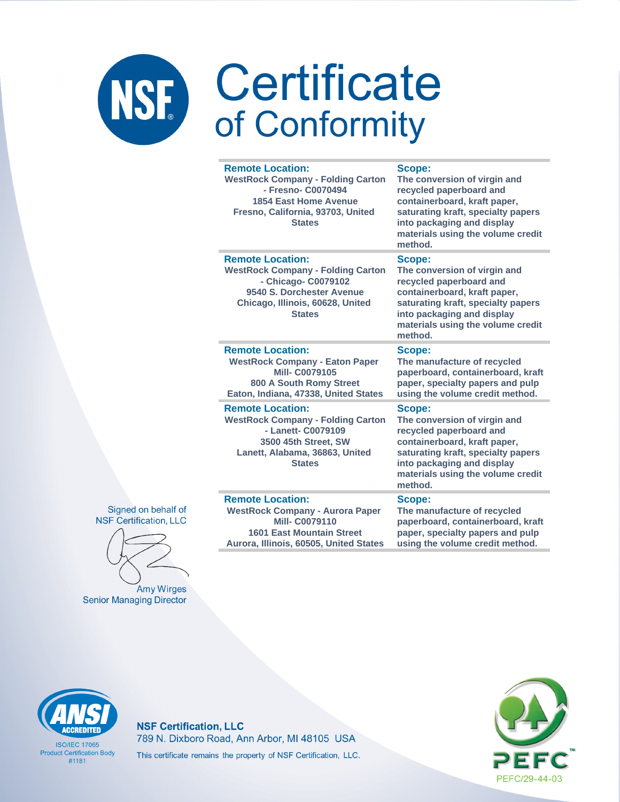# NSF Certificate

| <b>Remote Location:</b><br><b>WestRock Company - Folding Carton</b><br>- Fresno- C0070494<br><b>1854 East Home Avenue</b><br>Fresno, California, 93703, United<br><b>States</b> | Scope:<br>The conversion of virgin and<br>recycled paperboard and<br>containerboard, kraft paper,<br>saturating kraft, specialty papers<br>into packaging and display<br>materials using the volume credit<br>method. |
|---------------------------------------------------------------------------------------------------------------------------------------------------------------------------------|-----------------------------------------------------------------------------------------------------------------------------------------------------------------------------------------------------------------------|
| <b>Remote Location:</b><br><b>WestRock Company - Folding Carton</b><br>- Chicago- C0079102<br>9540 S. Dorchester Avenue<br>Chicago, Illinois, 60628, United<br><b>States</b>    | Scope:<br>The conversion of virgin and<br>recycled paperboard and<br>containerboard, kraft paper,<br>saturating kraft, specialty papers<br>into packaging and display<br>materials using the volume credit<br>method. |
| <b>Remote Location:</b><br><b>WestRock Company - Eaton Paper</b><br><b>Mill-C0079105</b><br>800 A South Romy Street<br>Eaton, Indiana, 47338, United States                     | Scope:<br>The manufacture of recycled<br>paperboard, containerboard, kraft<br>paper, specialty papers and pulp<br>using the volume credit method.                                                                     |
| <b>Remote Location:</b><br><b>WestRock Company - Folding Carton</b><br>- Lanett- C0079109<br>3500 45th Street, SW<br>Lanett, Alabama, 36863, United<br><b>States</b>            | Scope:<br>The conversion of virgin and<br>recycled paperboard and<br>containerboard, kraft paper,<br>saturating kraft, specialty papers<br>into packaging and display<br>materials using the volume credit<br>method. |
| <b>Remote Location:</b><br><b>WestRock Company - Aurora Paper</b><br><b>Mill-C0079110</b><br><b>1601 East Mountain Street</b><br>Aurora, Illinois, 60505, United States         | Scope:<br>The manufacture of recycled<br>paperboard, containerboard, kraft<br>paper, specialty papers and pulp<br>using the volume credit method.                                                                     |





Amy Wirges **Senior Managing Director** 



**ISO/IFC 17065 Product Certification Body**  $#1181$ 

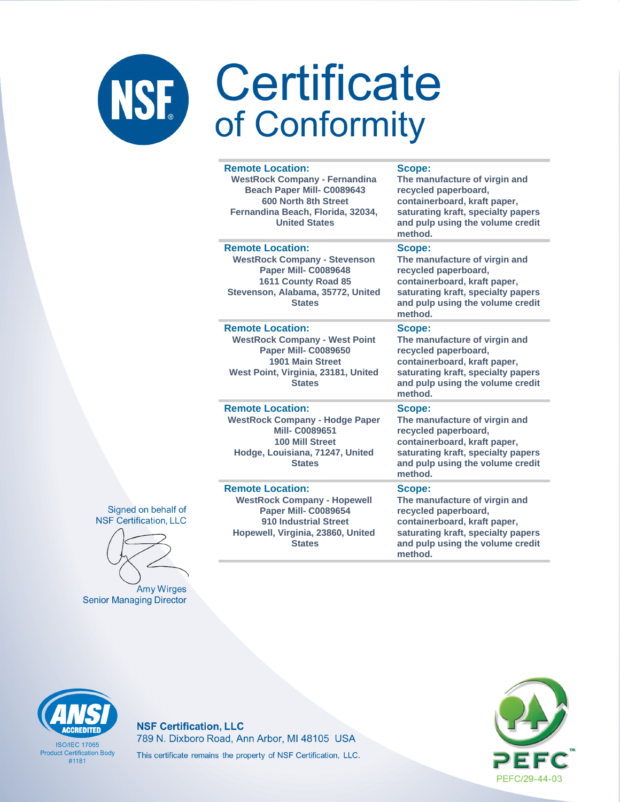### Certificate NSF. of Conformity

### **Remote Location:**

**WestRock Company - Fernandina Beach Paper Mill- C0089643 600 North 8th Street Fernandina Beach, Florida, 32034, United States**

### **Remote Location:**

**WestRock Company - Stevenson Paper Mill- C0089648 1611 County Road 85 Stevenson, Alabama, 35772, United States**

### **Remote Location:**

**WestRock Company - West Point Paper Mill- C0089650 1901 Main Street West Point, Virginia, 23181, United States**

**Remote Location: WestRock Company - Hodge Paper Mill- C0089651 100 Mill Street Hodge, Louisiana, 71247, United States**

### **Remote Location:**

**WestRock Company - Hopewell Paper Mill- C0089654 910 Industrial Street Hopewell, Virginia, 23860, United States**

### **Scope:**

**The manufacture of virgin and recycled paperboard, containerboard, kraft paper, saturating kraft, specialty papers and pulp using the volume credit method.**

### **Scope:**

**The manufacture of virgin and recycled paperboard, containerboard, kraft paper, saturating kraft, specialty papers and pulp using the volume credit method.**

### **Scope:**

**The manufacture of virgin and recycled paperboard, containerboard, kraft paper, saturating kraft, specialty papers and pulp using the volume credit method.**

### **Scope:**

**The manufacture of virgin and recycled paperboard, containerboard, kraft paper, saturating kraft, specialty papers and pulp using the volume credit method.**

### **Scope:**

**The manufacture of virgin and recycled paperboard, containerboard, kraft paper, saturating kraft, specialty papers and pulp using the volume credit method.**





**Amy Wirges Senior Managing Director** 



**ISO/IFC 17065 Product Certification Body** #1181

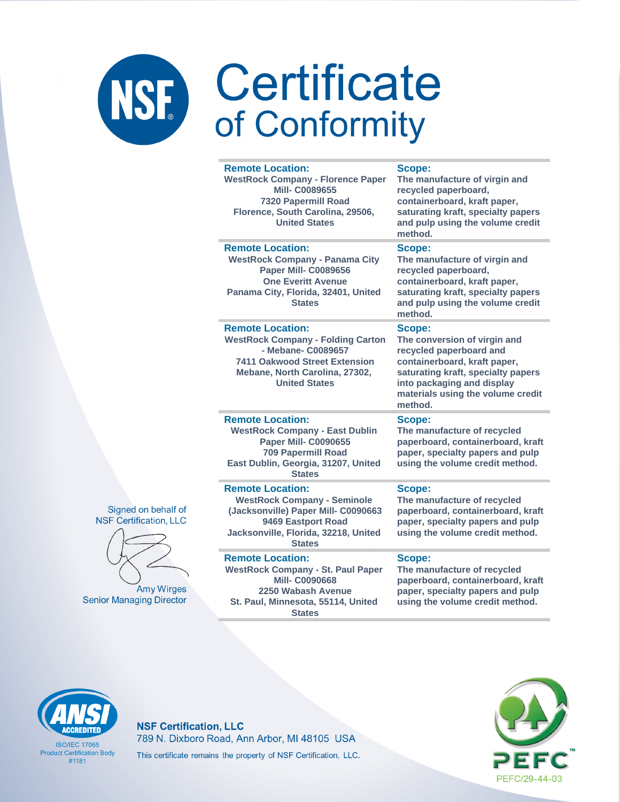| <b>Remote Location:</b><br><b>WestRock Company - Florence Paper</b><br><b>Mill-C0089655</b><br>7320 Papermill Road<br>Florence, South Carolina, 29506,<br><b>United States</b>              | Scope:<br>The manufacture of virgin and<br>recycled paperboard,<br>containerboard, kraft paper,<br>saturating kraft, specialty papers<br>and pulp using the volume credit<br>method.                                  |
|---------------------------------------------------------------------------------------------------------------------------------------------------------------------------------------------|-----------------------------------------------------------------------------------------------------------------------------------------------------------------------------------------------------------------------|
| <b>Remote Location:</b><br><b>WestRock Company - Panama City</b><br><b>Paper Mill- C0089656</b><br><b>One Everitt Avenue</b><br>Panama City, Florida, 32401, United<br><b>States</b>        | Scope:<br>The manufacture of virgin and<br>recycled paperboard,<br>containerboard, kraft paper,<br>saturating kraft, specialty papers<br>and pulp using the volume credit<br>method.                                  |
| <b>Remote Location:</b><br><b>WestRock Company - Folding Carton</b><br>- Mebane- C0089657<br><b>7411 Oakwood Street Extension</b><br>Mebane, North Carolina, 27302,<br><b>United States</b> | Scope:<br>The conversion of virgin and<br>recycled paperboard and<br>containerboard, kraft paper,<br>saturating kraft, specialty papers<br>into packaging and display<br>materials using the volume credit<br>method. |
| <b>Remote Location:</b><br><b>WestRock Company - East Dublin</b><br><b>Paper Mill- C0090655</b><br><b>709 Papermill Road</b><br>East Dublin, Georgia, 31207, United<br><b>States</b>        | Scope:<br>The manufacture of recycled<br>paperboard, containerboard, kraft<br>paper, specialty papers and pulp<br>using the volume credit method.                                                                     |
| <b>Remote Location:</b><br><b>WestRock Company - Seminole</b><br>(Jacksonville) Paper Mill- C0090663<br>9469 Eastport Road<br>Jacksonville, Florida, 32218, United<br><b>States</b>         | Scope:<br>The manufacture of recycled<br>paperboard, containerboard, kraft<br>paper, specialty papers and pulp<br>using the volume credit method.                                                                     |
| <b>Remote Location:</b><br><b>WestRock Company - St. Paul Paper</b>                                                                                                                         | Scope:<br>The manufacture of recycled                                                                                                                                                                                 |

### Signed on behalf of **NSF Certification, LLC**



Amy Wirges **Senior Managing Director** 

### **Mill- C0090668 2250 Wabash Avenue St. Paul, Minnesota, 55114, United States**

### **The manufacture of recycled paperboard, containerboard, kraft paper, specialty papers and pulp using the volume credit method.**



**ISO/IFC 17065 Product Certification Body** #1181

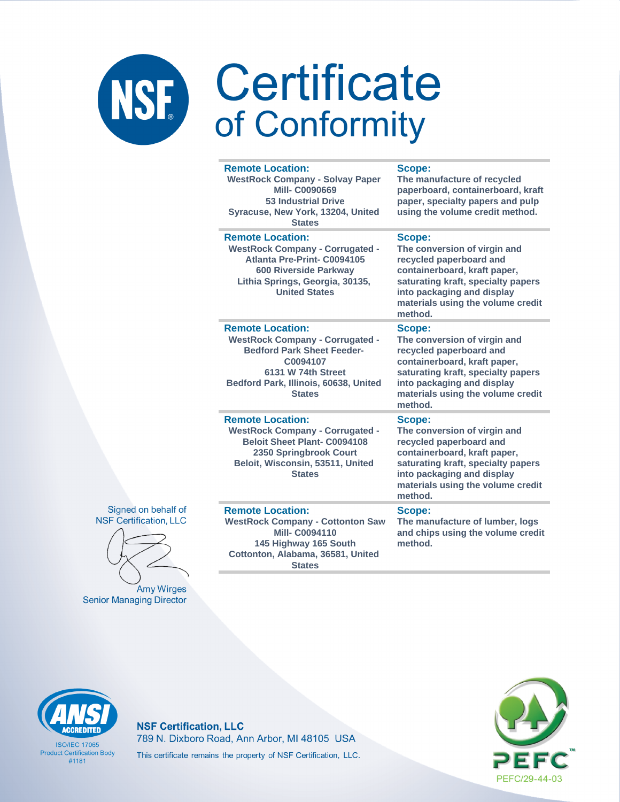| <b>Remote Location:</b><br><b>WestRock Company - Solvay Paper</b><br><b>Mill-C0090669</b><br><b>53 Industrial Drive</b><br>Syracuse, New York, 13204, United<br><b>States</b>                      | Scope:<br>The manufacture of recycled<br>paperboard, containerboard, kraft<br>paper, specialty papers and pulp<br>using the volume credit method.                                                                     |
|----------------------------------------------------------------------------------------------------------------------------------------------------------------------------------------------------|-----------------------------------------------------------------------------------------------------------------------------------------------------------------------------------------------------------------------|
| <b>Remote Location:</b><br><b>WestRock Company - Corrugated -</b><br>Atlanta Pre-Print- C0094105<br><b>600 Riverside Parkway</b><br>Lithia Springs, Georgia, 30135,<br><b>United States</b>        | Scope:<br>The conversion of virgin and<br>recycled paperboard and<br>containerboard, kraft paper,<br>saturating kraft, specialty papers<br>into packaging and display<br>materials using the volume credit<br>method. |
| <b>Remote Location:</b><br><b>WestRock Company - Corrugated -</b><br><b>Bedford Park Sheet Feeder-</b><br>C0094107<br>6131 W 74th Street<br>Bedford Park, Illinois, 60638, United<br><b>States</b> | Scope:<br>The conversion of virgin and<br>recycled paperboard and<br>containerboard, kraft paper,<br>saturating kraft, specialty papers<br>into packaging and display<br>materials using the volume credit<br>method. |
| <b>Remote Location:</b><br><b>WestRock Company - Corrugated -</b><br><b>Beloit Sheet Plant- C0094108</b><br>2350 Springbrook Court<br>Beloit, Wisconsin, 53511, United<br><b>States</b>            | Scope:<br>The conversion of virgin and<br>recycled paperboard and<br>containerboard, kraft paper,<br>saturating kraft, specialty papers<br>into packaging and display<br>materials using the volume credit<br>method. |
| <b>Remote Location:</b><br><b>WestRock Company - Cottonton Saw</b><br><b>Mill-C0094110</b><br>145 Highway 165 South<br>Cottonton, Alabama, 36581, United<br><b>States</b>                          | Scope:<br>The manufacture of lumber, logs<br>and chips using the volume credit<br>method.                                                                                                                             |

### Signed on behalf of **NSF Certification, LLC**



**Amy Wirges Senior Managing Director** 

**ACCREDITED** 

**ISO/IEC 17065 Product Certification Body** 

 $#1181$ 

### **NSF Certification, LLC**



789 N. Dixboro Road, Ann Arbor, MI 48105 USA This certificate remains the property of NSF Certification, LLC.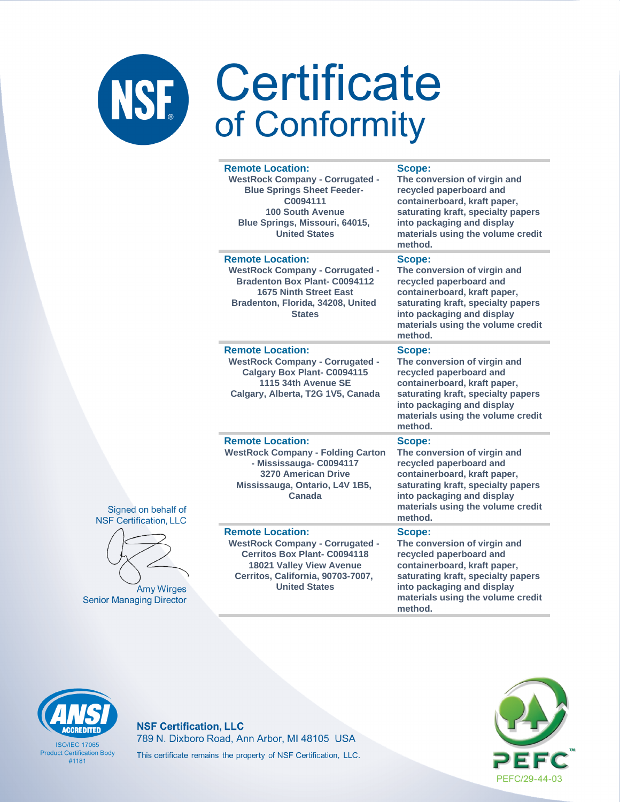|                   | <b>Remote Location:</b><br><b>WestRock Company - Corrugated -</b><br><b>Blue Springs Sheet Feeder-</b><br>C0094111<br><b>100 South Avenue</b><br>Blue Springs, Missouri, 64015,<br><b>United States</b> | <b>Scope:</b><br>The conversion of virgin and<br>recycled paperboard and<br>containerboard, kraft paper,<br>saturating kraft, specialty papers<br>into packaging and display<br>materials using the volume credit<br>method. |
|-------------------|---------------------------------------------------------------------------------------------------------------------------------------------------------------------------------------------------------|------------------------------------------------------------------------------------------------------------------------------------------------------------------------------------------------------------------------------|
|                   | <b>Remote Location:</b><br><b>WestRock Company - Corrugated -</b><br><b>Bradenton Box Plant- C0094112</b><br><b>1675 Ninth Street East</b><br>Bradenton, Florida, 34208, United<br><b>States</b>        | <b>Scope:</b><br>The conversion of virgin and<br>recycled paperboard and<br>containerboard, kraft paper,<br>saturating kraft, specialty papers<br>into packaging and display<br>materials using the volume credit<br>method. |
|                   | <b>Remote Location:</b><br><b>WestRock Company - Corrugated -</b><br><b>Calgary Box Plant- C0094115</b><br>1115 34th Avenue SE<br>Calgary, Alberta, T2G 1V5, Canada                                     | Scope:<br>The conversion of virgin and<br>recycled paperboard and<br>containerboard, kraft paper,<br>saturating kraft, specialty papers<br>into packaging and display<br>materials using the volume credit<br>method.        |
| าalf of<br>1, LLC | <b>Remote Location:</b><br><b>WestRock Company - Folding Carton</b><br>- Mississauga- C0094117<br><b>3270 American Drive</b><br>Mississauga, Ontario, L4V 1B5,<br>Canada                                | Scope:<br>The conversion of virgin and<br>recycled paperboard and<br>containerboard, kraft paper,<br>saturating kraft, specialty papers<br>into packaging and display<br>materials using the volume credit<br>method.        |
| /irges<br>rector  | <b>Remote Location:</b><br><b>WestRock Company - Corrugated -</b><br><b>Cerritos Box Plant- C0094118</b><br>18021 Valley View Avenue<br>Cerritos, California, 90703-7007,<br><b>United States</b>       | Scope:<br>The conversion of virgin and<br>recycled paperboard and<br>containerboard, kraft paper,<br>saturating kraft, specialty papers<br>into packaging and display<br>materials using the volume credit<br>method.        |





Amy W Senior Managing Di

# **ACCREDITED**

**ISO/IEC 17065 Product Certification Body**  $#1181$ 

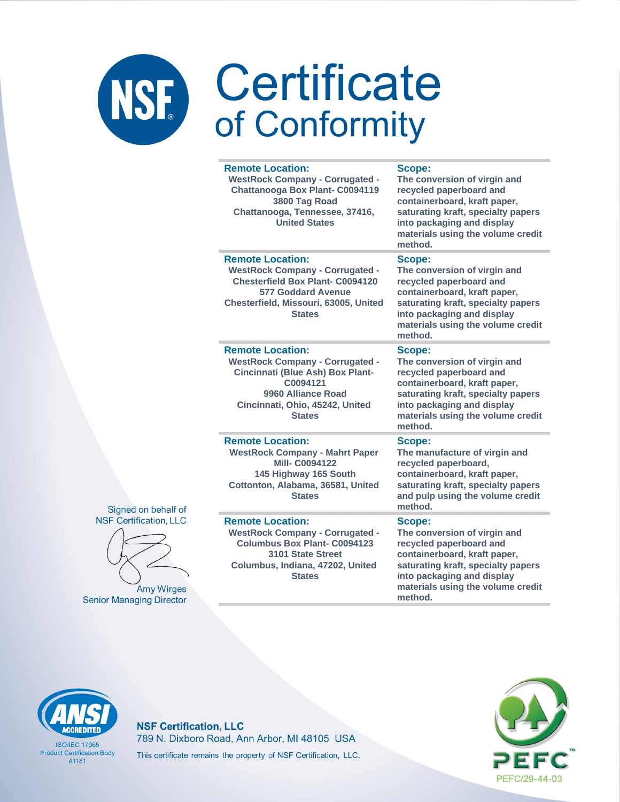### Certificate NSF. of Conformity

### **Remote Location: WestRock Company - Corrugated - Chattanooga Box Plant- C0094119 3800 Tag Road Chattanooga, Tennessee, 37416, United States Scope:**

### **Remote Location:**

**Remote Location:** 

**WestRock Company - Corrugated - Chesterfield Box Plant- C0094120 577 Goddard Avenue Chesterfield, Missouri, 63005, United States**

**WestRock Company - Corrugated - Cincinnati (Blue Ash) Box Plant-C0094121 9960 Alliance Road Cincinnati, Ohio, 45242, United States**

**The conversion of virgin and recycled paperboard and containerboard, kraft paper, saturating kraft, specialty papers into packaging and display materials using the volume credit method.**

### **Scope:**

**The conversion of virgin and recycled paperboard and containerboard, kraft paper, saturating kraft, specialty papers into packaging and display materials using the volume credit method.**

### **Scope:**

**The conversion of virgin and recycled paperboard and containerboard, kraft paper, saturating kraft, specialty papers into packaging and display materials using the volume credit method.**

### **Remote Location:**

**WestRock Company - Mahrt Paper Mill- C0094122 145 Highway 165 South Cottonton, Alabama, 36581, United States**

### **Remote Location:**

**WestRock Company - Corrugated - Columbus Box Plant- C0094123 3101 State Street Columbus, Indiana, 47202, United States**

**Scope:**

**recycled paperboard, containerboard, kraft paper, saturating kraft, specialty papers and pulp using the volume credit method.**

**The manufacture of virgin and** 

### **Scope:**

**The conversion of virgin and recycled paperboard and containerboard, kraft paper, saturating kraft, specialty papers into packaging and display materials using the volume credit method.**

### Signed on behalf of **NSF Certification, LLC**



**Amy Wirges Senior Managing Director** 



**ISO/IFC 17065 Product Certification Body** #1181

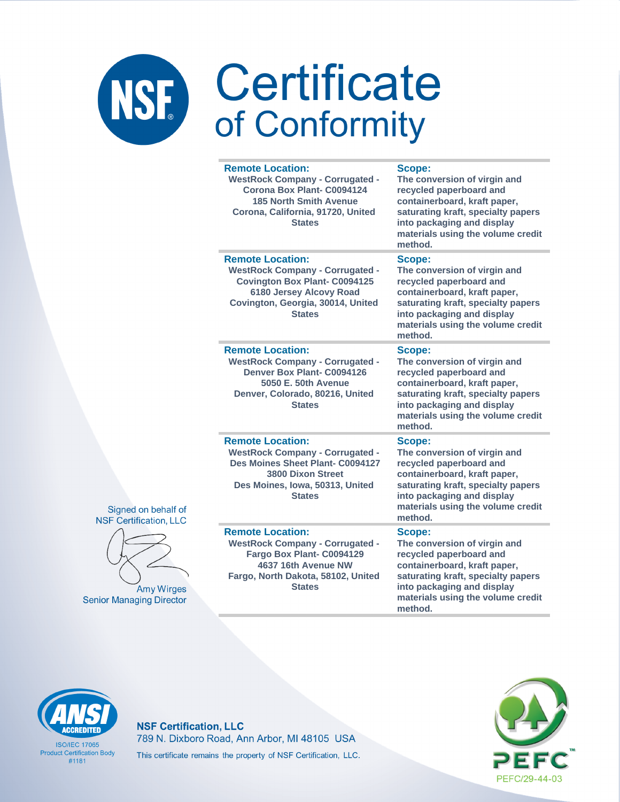| <b>Remote Location:</b><br><b>WestRock Company - Corrugated -</b><br>Corona Box Plant- C0094124<br><b>185 North Smith Avenue</b><br>Corona, California, 91720, United<br><b>States</b>     | <b>Scope:</b><br>The conversion of virgin and<br>recycled paperboard and<br>containerboard, kraft paper,<br>saturating kraft, specialty papers<br>into packaging and display<br>materials using the volume credit<br>method. |
|--------------------------------------------------------------------------------------------------------------------------------------------------------------------------------------------|------------------------------------------------------------------------------------------------------------------------------------------------------------------------------------------------------------------------------|
| <b>Remote Location:</b><br><b>WestRock Company - Corrugated -</b><br><b>Covington Box Plant- C0094125</b><br>6180 Jersey Alcovy Road<br>Covington, Georgia, 30014, United<br><b>States</b> | Scope:<br>The conversion of virgin and<br>recycled paperboard and<br>containerboard, kraft paper,<br>saturating kraft, specialty papers<br>into packaging and display<br>materials using the volume credit<br>method.        |
| <b>Remote Location:</b><br><b>WestRock Company - Corrugated -</b><br>Denver Box Plant- C0094126<br>5050 E. 50th Avenue<br>Denver, Colorado, 80216, United<br><b>States</b>                 | Scope:<br>The conversion of virgin and<br>recycled paperboard and<br>containerboard, kraft paper,<br>saturating kraft, specialty papers<br>into packaging and display<br>materials using the volume credit<br>method.        |
| <b>Remote Location:</b><br><b>WestRock Company - Corrugated -</b><br>Des Moines Sheet Plant- C0094127<br><b>3800 Dixon Street</b><br>Des Moines, Iowa, 50313, United<br><b>States</b>      | <b>Scope:</b><br>The conversion of virgin and<br>recycled paperboard and<br>containerboard, kraft paper,<br>saturating kraft, specialty papers<br>into packaging and display<br>materials using the volume credit<br>method. |
| <b>Remote Location:</b><br><b>WestRock Company - Corrugated -</b><br>Fargo Box Plant- C0094129<br>4637 16th Avenue NW<br>Fargo, North Dakota, 58102, United<br><b>States</b>               | Scope:<br>The conversion of virgin and<br>recycled paperboard and<br>containerboard, kraft paper,<br>saturating kraft, specialty papers<br>into packaging and display<br>materials using the volume credit                   |

method.





Amy Wir **Senior Managing Dire** 

# **ACCREDITED**

**ISO/IEC 17065 Product Certification Body**  $#1181$ 

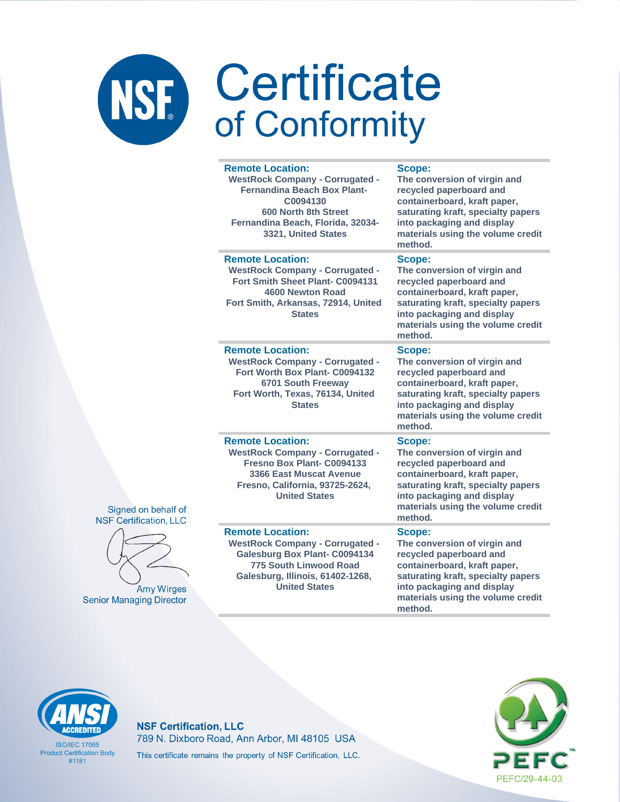# NSF Certificate

|                          | <b>Remote Location:</b><br><b>WestRock Company - Corrugated -</b><br><b>Fernandina Beach Box Plant-</b><br>C0094130<br>600 North 8th Street<br>Fernandina Beach, Florida, 32034-<br>3321, United States | <b>Scope:</b><br>The conversion of virgin and<br>recycled paperboard and<br>containerboard, kraft paper,<br>saturating kraft, specialty papers<br>into packaging and display<br>materials using the volume credit<br>method. |
|--------------------------|---------------------------------------------------------------------------------------------------------------------------------------------------------------------------------------------------------|------------------------------------------------------------------------------------------------------------------------------------------------------------------------------------------------------------------------------|
|                          | <b>Remote Location:</b><br><b>WestRock Company - Corrugated -</b><br>Fort Smith Sheet Plant- C0094131<br>4600 Newton Road<br>Fort Smith, Arkansas, 72914, United<br><b>States</b>                       | Scope:<br>The conversion of virgin and<br>recycled paperboard and<br>containerboard, kraft paper,<br>saturating kraft, specialty papers<br>into packaging and display<br>materials using the volume credit<br>method.        |
|                          | <b>Remote Location:</b><br><b>WestRock Company - Corrugated -</b><br>Fort Worth Box Plant- C0094132<br>6701 South Freeway<br>Fort Worth, Texas, 76134, United<br><b>States</b>                          | Scope:<br>The conversion of virgin and<br>recycled paperboard and<br>containerboard, kraft paper,<br>saturating kraft, specialty papers<br>into packaging and display<br>materials using the volume credit<br>method.        |
| half of<br>n, LLC        | <b>Remote Location:</b><br><b>WestRock Company - Corrugated -</b><br>Fresno Box Plant- C0094133<br>3366 East Muscat Avenue<br>Fresno, California, 93725-2624,<br><b>United States</b>                   | Scope:<br>The conversion of virgin and<br>recycled paperboard and<br>containerboard, kraft paper,<br>saturating kraft, specialty papers<br>into packaging and display<br>materials using the volume credit<br>method.        |
| <b>Virges</b><br>irector | <b>Remote Location:</b><br><b>WestRock Company - Corrugated -</b><br><b>Galesburg Box Plant- C0094134</b><br>775 South Linwood Road<br>Galesburg, Illinois, 61402-1268,<br><b>United States</b>         | Scope:<br>The conversion of virgin and<br>recycled paperboard and<br>containerboard, kraft paper,<br>saturating kraft, specialty papers<br>into packaging and display<br>materials using the volume credit<br>method.        |

### Signed on bel **NSF** Certification



Amy V **Senior Managing D** 

# **CCREDITED**

**ISO/IEC 17065 Product Certification Body**  $#1181$ 

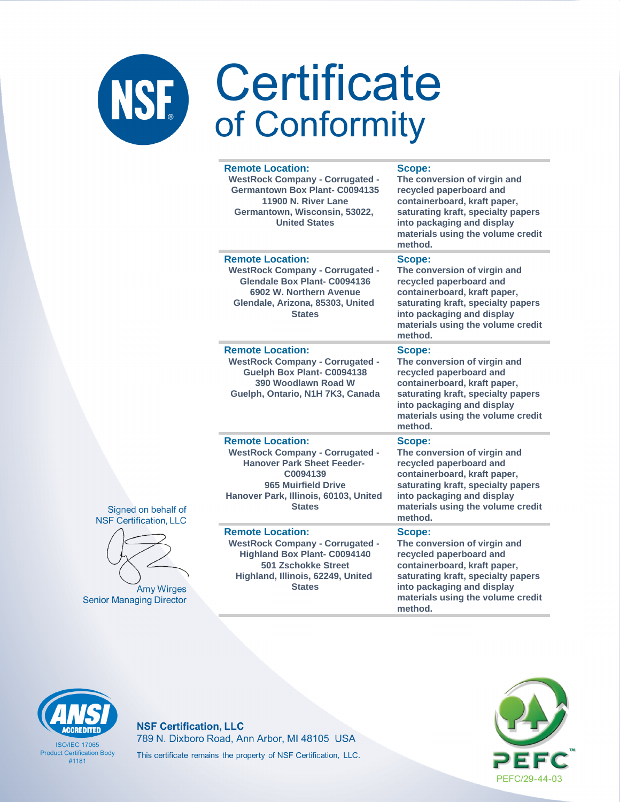|          | <b>Remote Location:</b><br><b>WestRock Company - Corrugated -</b><br><b>Germantown Box Plant- C0094135</b><br>11900 N. River Lane<br>Germantown, Wisconsin, 53022,<br><b>United States</b>          | Scope:<br>The conversion of virgin and<br>recycled paperboard and<br>containerboard, kraft paper,<br>saturating kraft, specialty papers<br>into packaging and display<br>materials using the volume credit<br>method. |
|----------|-----------------------------------------------------------------------------------------------------------------------------------------------------------------------------------------------------|-----------------------------------------------------------------------------------------------------------------------------------------------------------------------------------------------------------------------|
|          | <b>Remote Location:</b><br><b>WestRock Company - Corrugated -</b><br>Glendale Box Plant- C0094136<br>6902 W. Northern Avenue<br>Glendale, Arizona, 85303, United<br><b>States</b>                   | Scope:<br>The conversion of virgin and<br>recycled paperboard and<br>containerboard, kraft paper,<br>saturating kraft, specialty papers<br>into packaging and display<br>materials using the volume credit<br>method. |
|          | <b>Remote Location:</b><br><b>WestRock Company - Corrugated -</b><br>Guelph Box Plant- C0094138<br>390 Woodlawn Road W<br>Guelph, Ontario, N1H 7K3, Canada                                          | Scope:<br>The conversion of virgin and<br>recycled paperboard and<br>containerboard, kraft paper,<br>saturating kraft, specialty papers<br>into packaging and display<br>materials using the volume credit<br>method. |
| of<br>.C | <b>Remote Location:</b><br><b>WestRock Company - Corrugated -</b><br><b>Hanover Park Sheet Feeder-</b><br>C0094139<br>965 Muirfield Drive<br>Hanover Park, Illinois, 60103, United<br><b>States</b> | Scope:<br>The conversion of virgin and<br>recycled paperboard and<br>containerboard, kraft paper,<br>saturating kraft, specialty papers<br>into packaging and display<br>materials using the volume credit<br>method. |
| es<br>or | <b>Remote Location:</b><br><b>WestRock Company - Corrugated -</b><br><b>Highland Box Plant- C0094140</b><br><b>501 Zschokke Street</b><br>Highland, Illinois, 62249, United<br><b>States</b>        | Scope:<br>The conversion of virgin and<br>recycled paperboard and<br>containerboard, kraft paper,<br>saturating kraft, specialty papers<br>into packaging and display<br>materials using the volume credit            |

method.

### Signed on behalf **NSF Certification, LL**



Amy Wirg **Senior Managing Direct** 

# **ACCREDITED**

**ISO/IEC 17065 Product Certification Body**  $#1181$ 

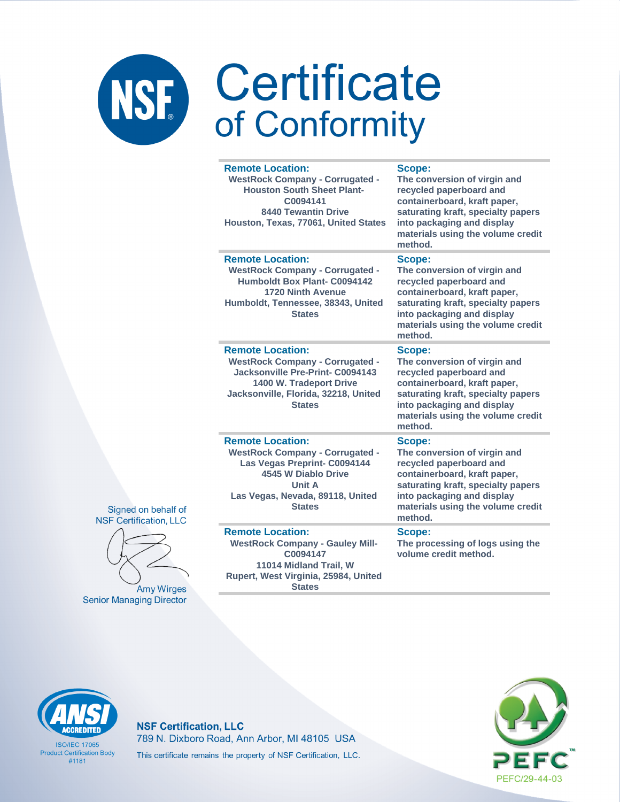| <b>Remote Location:</b><br><b>WestRock Company - Corrugated -</b><br><b>Houston South Sheet Plant-</b><br>C0094141<br><b>8440 Tewantin Drive</b><br>Houston, Texas, 77061, United States       | Scope:<br>The conversion of virgin and<br>recycled paperboard and<br>containerboard, kraft paper,<br>saturating kraft, specialty papers<br>into packaging and display<br>materials using the volume credit<br>method. |
|------------------------------------------------------------------------------------------------------------------------------------------------------------------------------------------------|-----------------------------------------------------------------------------------------------------------------------------------------------------------------------------------------------------------------------|
| <b>Remote Location:</b><br><b>WestRock Company - Corrugated -</b><br><b>Humboldt Box Plant- C0094142</b><br>1720 Ninth Avenue<br>Humboldt, Tennessee, 38343, United<br><b>States</b>           | Scope:<br>The conversion of virgin and<br>recycled paperboard and<br>containerboard, kraft paper,<br>saturating kraft, specialty papers<br>into packaging and display<br>materials using the volume credit<br>method. |
| <b>Remote Location:</b><br><b>WestRock Company - Corrugated -</b><br>Jacksonville Pre-Print- C0094143<br>1400 W. Tradeport Drive<br>Jacksonville, Florida, 32218, United<br><b>States</b>      | Scope:<br>The conversion of virgin and<br>recycled paperboard and<br>containerboard, kraft paper,<br>saturating kraft, specialty papers<br>into packaging and display<br>materials using the volume credit<br>method. |
| <b>Remote Location:</b><br><b>WestRock Company - Corrugated -</b><br>Las Vegas Preprint- C0094144<br>4545 W Diablo Drive<br><b>Unit A</b><br>Las Vegas, Nevada, 89118, United<br><b>States</b> | Scope:<br>The conversion of virgin and<br>recycled paperboard and<br>containerboard, kraft paper,<br>saturating kraft, specialty papers<br>into packaging and display<br>materials using the volume credit<br>method. |
| <b>Remote Location:</b><br><b>WestRock Company - Gauley Mill-</b><br>C0094147<br>11014 Midland Trail, W<br>Rupert, West Virginia, 25984, United                                                | Scope:<br>The processing of logs using the<br>volume credit method.                                                                                                                                                   |

**Amy Wirges Senior Managing Director** 

Signed on behalf of **NSF Certification, LLC** 

**States** 



**ISO/IEC 17065 Product Certification Body**  $#1181$ 

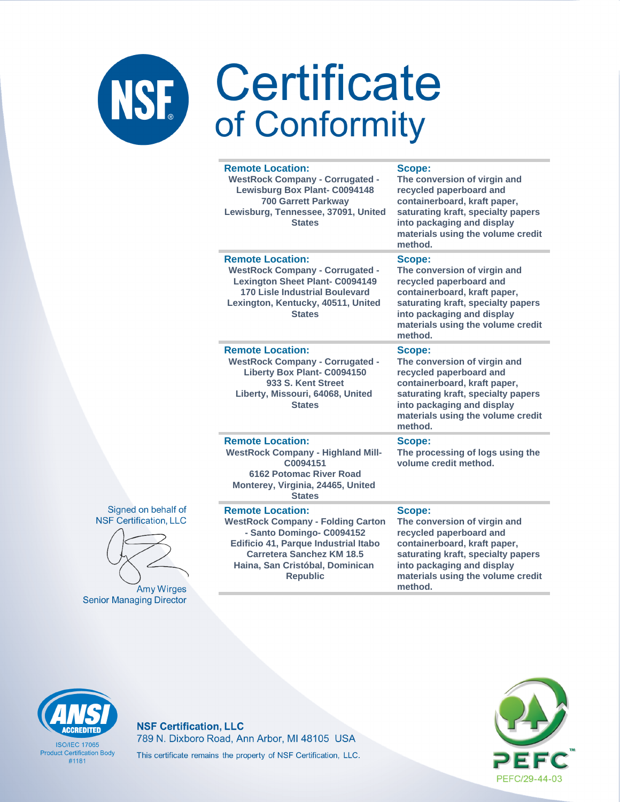| <b>Remote Location:</b><br><b>WestRock Company - Corrugated -</b><br><b>Lewisburg Box Plant- C0094148</b><br><b>700 Garrett Parkway</b><br>Lewisburg, Tennessee, 37091, United<br><b>States</b>                                    | Scope:<br>The conversion of virgin and<br>recycled paperboard and<br>containerboard, kraft paper,<br>saturating kraft, specialty papers<br>into packaging and display<br>materials using the volume credit<br>method. |
|------------------------------------------------------------------------------------------------------------------------------------------------------------------------------------------------------------------------------------|-----------------------------------------------------------------------------------------------------------------------------------------------------------------------------------------------------------------------|
| <b>Remote Location:</b><br><b>WestRock Company - Corrugated -</b><br><b>Lexington Sheet Plant- C0094149</b><br><b>170 Lisle Industrial Boulevard</b><br>Lexington, Kentucky, 40511, United<br><b>States</b>                        | Scope:<br>The conversion of virgin and<br>recycled paperboard and<br>containerboard, kraft paper,<br>saturating kraft, specialty papers<br>into packaging and display<br>materials using the volume credit<br>method. |
| <b>Remote Location:</b><br><b>WestRock Company - Corrugated -</b><br><b>Liberty Box Plant- C0094150</b><br>933 S. Kent Street<br>Liberty, Missouri, 64068, United<br><b>States</b>                                                 | Scope:<br>The conversion of virgin and<br>recycled paperboard and<br>containerboard, kraft paper,<br>saturating kraft, specialty papers<br>into packaging and display<br>materials using the volume credit<br>method. |
| <b>Remote Location:</b><br><b>WestRock Company - Highland Mill-</b><br>C0094151<br><b>6162 Potomac River Road</b><br>Monterey, Virginia, 24465, United<br><b>States</b>                                                            | Scope:<br>The processing of logs using the<br>volume credit method.                                                                                                                                                   |
| <b>Remote Location:</b><br><b>WestRock Company - Folding Carton</b><br>- Santo Domingo- C0094152<br>Edificio 41, Parque Industrial Itabo<br><b>Carretera Sanchez KM 18.5</b><br>Haina, San Cristóbal, Dominican<br><b>Republic</b> | Scope:<br>The conversion of virgin and<br>recycled paperboard and<br>containerboard, kraft paper,<br>saturating kraft, specialty papers<br>into packaging and display<br>materials using the volume credit<br>method. |

Signed on behalf of **NSF Certification, LLC** 



**Amy Wirges Senior Managing Director** 

# **ACCREDITED**

**ISO/IEC 17065 Product Certification Body**  $#1181$ 

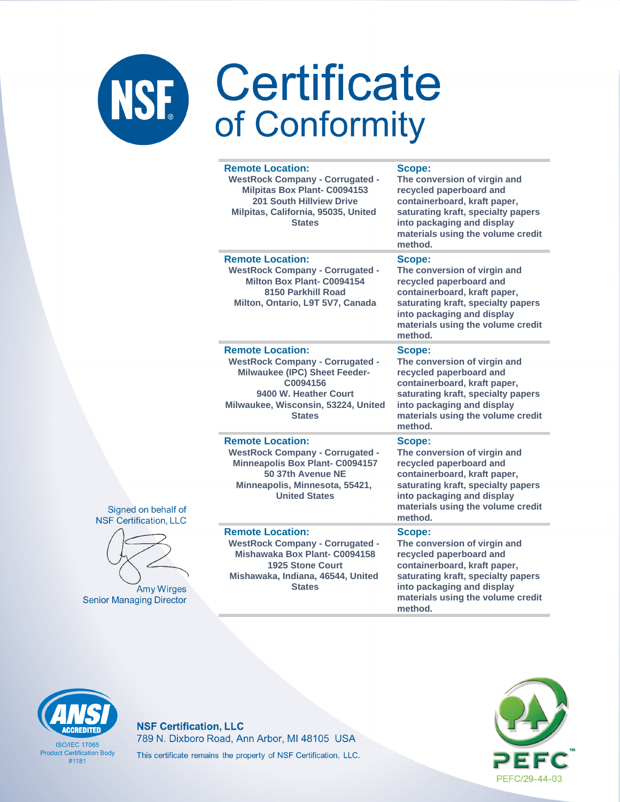|                               | <b>Remote Location:</b><br><b>WestRock Company - Corrugated -</b><br><b>Milpitas Box Plant- C0094153</b><br>201 South Hillview Drive<br>Milpitas, California, 95035, United<br><b>States</b>    | Scope:<br>The conversion of virgin and<br>recycled paperboard and<br>containerboard, kraft paper,<br>saturating kraft, specialty papers<br>into packaging and display<br>materials using the volume credit<br>method. |
|-------------------------------|-------------------------------------------------------------------------------------------------------------------------------------------------------------------------------------------------|-----------------------------------------------------------------------------------------------------------------------------------------------------------------------------------------------------------------------|
|                               | <b>Remote Location:</b><br><b>WestRock Company - Corrugated -</b><br>Milton Box Plant- C0094154<br>8150 Parkhill Road<br>Milton, Ontario, L9T 5V7, Canada                                       | Scope:<br>The conversion of virgin and<br>recycled paperboard and<br>containerboard, kraft paper,<br>saturating kraft, specialty papers<br>into packaging and display<br>materials using the volume credit<br>method. |
|                               | <b>Remote Location:</b><br><b>WestRock Company - Corrugated -</b><br>Milwaukee (IPC) Sheet Feeder-<br>C0094156<br>9400 W. Heather Court<br>Milwaukee, Wisconsin, 53224, United<br><b>States</b> | Scope:<br>The conversion of virgin and<br>recycled paperboard and<br>containerboard, kraft paper,<br>saturating kraft, specialty papers<br>into packaging and display<br>materials using the volume credit<br>method. |
| of<br>$\overline{\mathsf{C}}$ | <b>Remote Location:</b><br><b>WestRock Company - Corrugated -</b><br><b>Minneapolis Box Plant- C0094157</b><br>50 37th Avenue NE<br>Minneapolis, Minnesota, 55421,<br><b>United States</b>      | Scope:<br>The conversion of virgin and<br>recycled paperboard and<br>containerboard, kraft paper,<br>saturating kraft, specialty papers<br>into packaging and display<br>materials using the volume credit<br>method. |
| es<br>:or                     | <b>Remote Location:</b><br><b>WestRock Company - Corrugated -</b><br>Mishawaka Box Plant- C0094158<br><b>1925 Stone Court</b><br>Mishawaka, Indiana, 46544, United<br><b>States</b>             | Scope:<br>The conversion of virgin and<br>recycled paperboard and<br>containerboard, kraft paper,<br>saturating kraft, specialty papers<br>into packaging and display<br>materials using the volume credit<br>method. |

### Signed on behalf **NSF Certification, LL**



Amy Wirg **Senior Managing Direct** 

### **CCREDITED**

**ISO/IEC 17065 Product Certification Body**  $#1181$ 

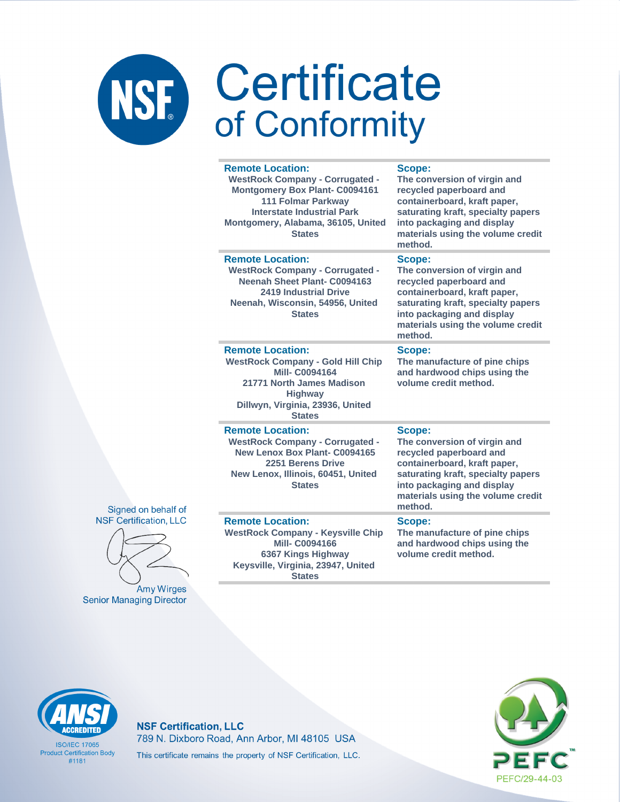|    | <b>Remote Location:</b><br><b>WestRock Company - Corrugated -</b><br><b>Montgomery Box Plant- C0094161</b><br><b>111 Folmar Parkway</b><br><b>Interstate Industrial Park</b><br>Montgomery, Alabama, 36105, United<br><b>States</b> | Scope:<br>The conversion of virgin and<br>recycled paperboard and<br>containerboard, kraft paper,<br>saturating kraft, specialty papers<br>into packaging and display<br>materials using the volume credit<br>method. |
|----|-------------------------------------------------------------------------------------------------------------------------------------------------------------------------------------------------------------------------------------|-----------------------------------------------------------------------------------------------------------------------------------------------------------------------------------------------------------------------|
|    | <b>Remote Location:</b><br><b>WestRock Company - Corrugated -</b><br>Neenah Sheet Plant- C0094163<br><b>2419 Industrial Drive</b><br>Neenah, Wisconsin, 54956, United<br><b>States</b>                                              | Scope:<br>The conversion of virgin and<br>recycled paperboard and<br>containerboard, kraft paper,<br>saturating kraft, specialty papers<br>into packaging and display<br>materials using the volume credit<br>method. |
|    | <b>Remote Location:</b><br><b>WestRock Company - Gold Hill Chip</b><br><b>Mill-C0094164</b><br>21771 North James Madison<br><b>Highway</b><br>Dillwyn, Virginia, 23936, United<br><b>States</b>                                     | Scope:<br>The manufacture of pine chips<br>and hardwood chips using the<br>volume credit method.                                                                                                                      |
| of | <b>Remote Location:</b><br><b>WestRock Company - Corrugated -</b><br>New Lenox Box Plant- C0094165<br>2251 Berens Drive<br>New Lenox, Illinois, 60451, United<br><b>States</b>                                                      | Scope:<br>The conversion of virgin and<br>recycled paperboard and<br>containerboard, kraft paper,<br>saturating kraft, specialty papers<br>into packaging and display<br>materials using the volume credit<br>method. |
| C  | <b>Remote Location:</b><br><b>WestRock Company - Keysville Chip</b><br><b>Mill-C0094166</b><br>6367 Kings Highway<br>Keysville, Virginia, 23947, United<br>$P_{total}$                                                              | Scope:<br>The manufacture of pine chips<br>and hardwood chips using the<br>volume credit method.                                                                                                                      |

Signed on behalf **NSF** Certification, LL



Amy Wirges **Senior Managing Director** 

**States** 



**ISO/IEC 17065 Product Certification Body**  $#1181$ 

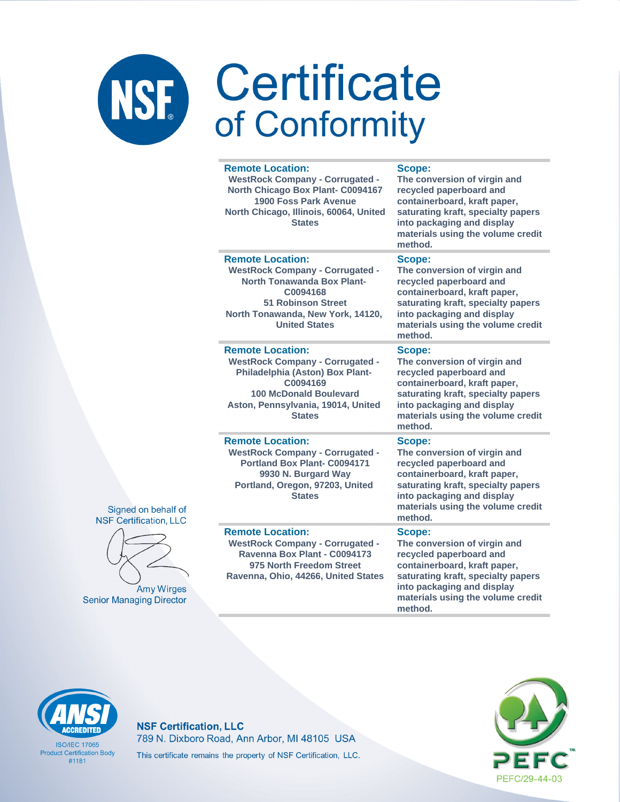### Certificate NSF. of Conformity

### **Remote Location:**

**WestRock Company - Corrugated - North Chicago Box Plant- C0094167 1900 Foss Park Avenue North Chicago, Illinois, 60064, United States**

**Scope:**

**The conversion of virgin and recycled paperboard and containerboard, kraft paper, saturating kraft, specialty papers into packaging and display materials using the volume credit method.**

### **Remote Location:**

**WestRock Company - Corrugated - North Tonawanda Box Plant-C0094168 51 Robinson Street North Tonawanda, New York, 14120, United States**

### **Remote Location:**

**WestRock Company - Corrugated - Philadelphia (Aston) Box Plant-C0094169 100 McDonald Boulevard Aston, Pennsylvania, 19014, United States**

### **Remote Location:**

**WestRock Company - Corrugated - Portland Box Plant- C0094171 9930 N. Burgard Way Portland, Oregon, 97203, United States**

### **Remote Location:**

**WestRock Company - Corrugated - Ravenna Box Plant - C0094173 975 North Freedom Street Ravenna, Ohio, 44266, United States**

### **Scope:**

**The conversion of virgin and recycled paperboard and containerboard, kraft paper, saturating kraft, specialty papers into packaging and display materials using the volume credit method.**

### **Scope:**

**The conversion of virgin and recycled paperboard and containerboard, kraft paper, saturating kraft, specialty papers into packaging and display materials using the volume credit method.**

### **Scope:**

**The conversion of virgin and recycled paperboard and containerboard, kraft paper, saturating kraft, specialty papers into packaging and display materials using the volume credit method.**

### **Scope:**

**The conversion of virgin and recycled paperboard and containerboard, kraft paper, saturating kraft, specialty papers into packaging and display materials using the volume credit method.**



**ISO/IFC 17065 Product Certification Body** #1181

**NSF Certification, LLC** 789 N. Dixboro Road, Ann Arbor, MI 48105 USA This certificate remains the property of NSF Certification, LLC.





Signed on behalf of

**Amy Wirges Senior Managing Director**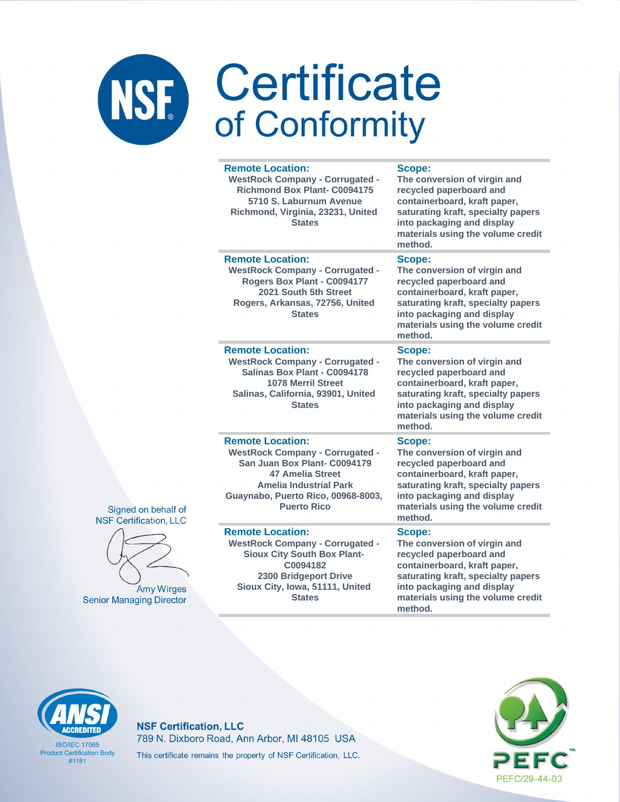|                   | <b>Remote Location:</b><br><b>WestRock Company - Corrugated -</b><br><b>Richmond Box Plant- C0094175</b><br>5710 S. Laburnum Avenue<br>Richmond, Virginia, 23231, United<br><b>States</b>                                 | Scope:<br>The conversion of virgin and<br>recycled paperboard and<br>containerboard, kraft paper,<br>saturating kraft, specialty papers<br>into packaging and display<br>materials using the volume credit<br>method. |
|-------------------|---------------------------------------------------------------------------------------------------------------------------------------------------------------------------------------------------------------------------|-----------------------------------------------------------------------------------------------------------------------------------------------------------------------------------------------------------------------|
|                   | <b>Remote Location:</b><br><b>WestRock Company - Corrugated -</b><br>Rogers Box Plant - C0094177<br>2021 South 5th Street<br>Rogers, Arkansas, 72756, United<br><b>States</b>                                             | Scope:<br>The conversion of virgin and<br>recycled paperboard and<br>containerboard, kraft paper,<br>saturating kraft, specialty papers<br>into packaging and display<br>materials using the volume credit<br>method. |
|                   | <b>Remote Location:</b><br><b>WestRock Company - Corrugated -</b><br>Salinas Box Plant - C0094178<br><b>1078 Merril Street</b><br>Salinas, California, 93901, United<br><b>States</b>                                     | Scope:<br>The conversion of virgin and<br>recycled paperboard and<br>containerboard, kraft paper,<br>saturating kraft, specialty papers<br>into packaging and display<br>materials using the volume credit<br>method. |
| f of<br><b>LC</b> | <b>Remote Location:</b><br><b>WestRock Company - Corrugated -</b><br>San Juan Box Plant- C0094179<br><b>47 Amelia Street</b><br><b>Amelia Industrial Park</b><br>Guaynabo, Puerto Rico, 00968-8003,<br><b>Puerto Rico</b> | Scope:<br>The conversion of virgin and<br>recycled paperboard and<br>containerboard, kraft paper,<br>saturating kraft, specialty papers<br>into packaging and display<br>materials using the volume credit<br>method. |
| ges<br>ctor       | <b>Remote Location:</b><br><b>WestRock Company - Corrugated -</b><br><b>Sioux City South Box Plant-</b><br>C0094182<br>2300 Bridgeport Drive<br>Sioux City, Iowa, 51111, United<br><b>States</b>                          | Scope:<br>The conversion of virgin and<br>recycled paperboard and<br>containerboard, kraft paper,<br>saturating kraft, specialty papers<br>into packaging and display<br>materials using the volume credit<br>method. |

Signed on behalt NSF Certification, L



Amy Wirg **Senior Managing Direo** 

# **CCREDITED**

**ISO/IEC 17065 Product Certification Body**  $#1181$ 

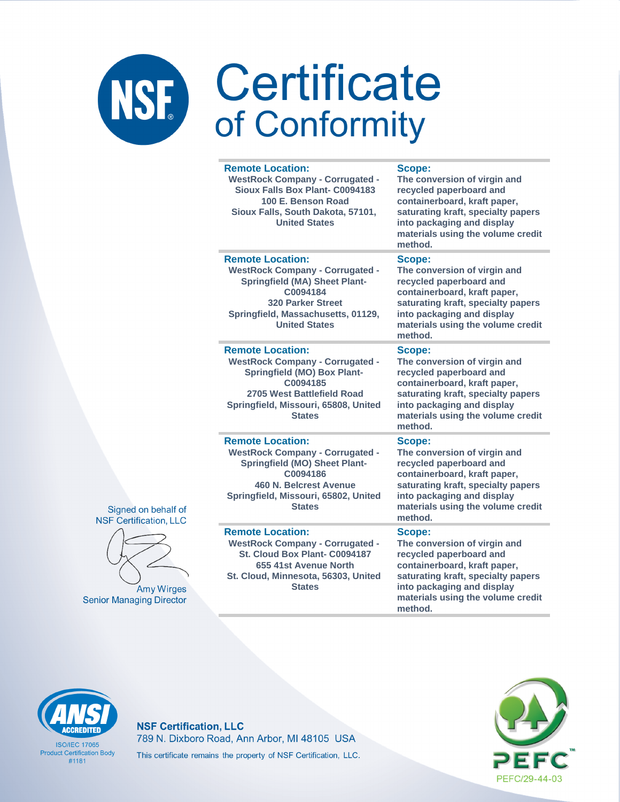### Certificate NSF. of Conformity

### **Remote Location:**

**WestRock Company - Corrugated - Sioux Falls Box Plant- C0094183 100 E. Benson Road Sioux Falls, South Dakota, 57101, United States**

### **Scope:**

**The conversion of virgin and recycled paperboard and containerboard, kraft paper, saturating kraft, specialty papers into packaging and display materials using the volume credit method.**

### **Remote Location:**

**WestRock Company - Corrugated - Springfield (MA) Sheet Plant-C0094184 320 Parker Street Springfield, Massachusetts, 01129, United States**

### **Remote Location:**

**WestRock Company - Corrugated - Springfield (MO) Box Plant-C0094185 2705 West Battlefield Road Springfield, Missouri, 65808, United States**

### **Remote Location:**

**WestRock Company - Corrugated - Springfield (MO) Sheet Plant-C0094186 460 N. Belcrest Avenue Springfield, Missouri, 65802, United States**

### **Remote Location:**

**WestRock Company - Corrugated - St. Cloud Box Plant- C0094187 655 41st Avenue North St. Cloud, Minnesota, 56303, United States**

### **Scope:**

**The conversion of virgin and recycled paperboard and containerboard, kraft paper, saturating kraft, specialty papers into packaging and display materials using the volume credit method.**

### **Scope:**

**The conversion of virgin and recycled paperboard and containerboard, kraft paper, saturating kraft, specialty papers into packaging and display materials using the volume credit method.**

### **Scope:**

**The conversion of virgin and recycled paperboard and containerboard, kraft paper, saturating kraft, specialty papers into packaging and display materials using the volume credit method.**

### **Scope:**

**The conversion of virgin and recycled paperboard and containerboard, kraft paper, saturating kraft, specialty papers into packaging and display materials using the volume credit method.**



**ISO/IFC 17065 Product Certification Body** #1181

### **NSF Certification, LLC** 789 N. Dixboro Road, Ann Arbor, MI 48105 USA This certificate remains the property of NSF Certification, LLC.





Signed on behalf of

**Amy Wirges Senior Managing Director**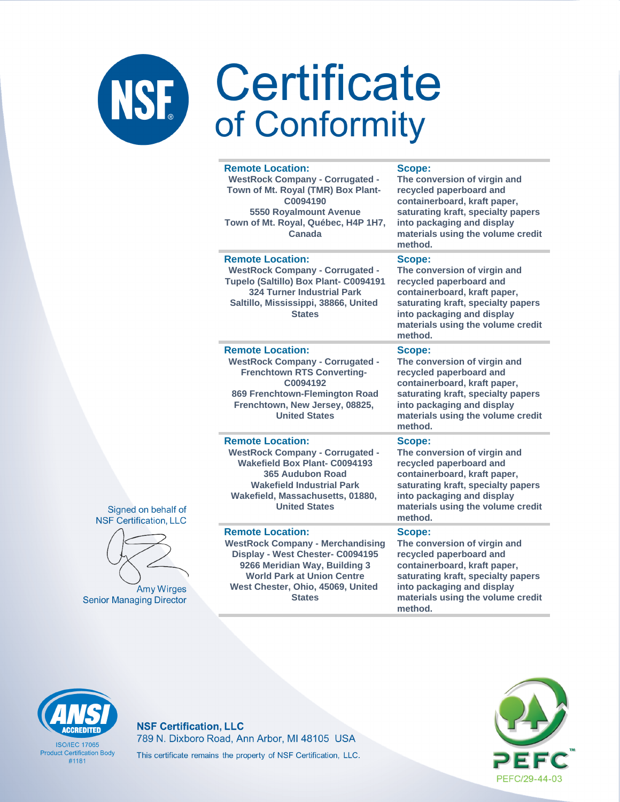### Certificate **NSE** of Conformity

### **Remote Location: WestRock Company - Corrugated - Town of Mt. Royal (TMR) Box Plant-C0094190 5550 Royalmount Avenue Town of Mt. Royal, Québec, H4P 1H7, Canada recycled paperboard and into packaging and display method. Remote Location: WestRock Company - Corrugated - Tupelo (Saltillo) Box Plant- C0094191 324 Turner Industrial Park Saltillo, Mississippi, 38866, United States Scope: The conversion of virgin and recycled paperboard and into packaging and display method. Remote Location: WestRock Company - Corrugated - Frenchtown RTS Converting-C0094192 869 Frenchtown-Flemington Road Frenchtown, New Jersey, 08825, United States Scope: The conversion of virgin and recycled paperboard and containerboard, kraft paper, into packaging and display method. Remote Location: WestRock Company - Corrugated - Wakefield Box Plant- C0094193 365 Audubon Road Wakefield Industrial Park Wakefield, Massachusetts, 01880, United States Scope: recycled paperboard and into packaging and display method.**

### **Remote Location:**

**WestRock Company - Merchandising Display - West Chester- C0094195 9266 Meridian Way, Building 3 World Park at Union Centre West Chester, Ohio, 45069, United States**

### **Scope:**

**The conversion of virgin and containerboard, kraft paper, saturating kraft, specialty papers materials using the volume credit** 

**containerboard, kraft paper, saturating kraft, specialty papers materials using the volume credit** 

**saturating kraft, specialty papers materials using the volume credit** 

**The conversion of virgin and containerboard, kraft paper, saturating kraft, specialty papers materials using the volume credit** 

### **Scope:**

**The conversion of virgin and recycled paperboard and containerboard, kraft paper, saturating kraft, specialty papers into packaging and display materials using the volume credit method.**



**ISO/IFC 17065 Product Certification Body** #1181

### **NSF Certification, LLC** 789 N. Dixboro Road, Ann Arbor, MI 48105 USA This certificate remains the property of NSF Certification, LLC.



Signed on behalf of **NSF Certification, LLC** 

**Amy Wirges Senior Managing Director**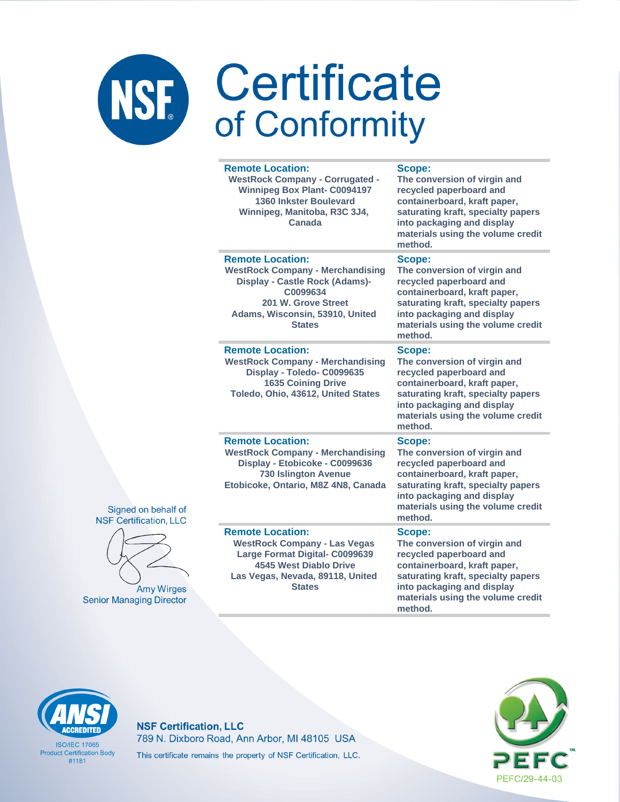|           | <b>Remote Location:</b><br><b>WestRock Company - Corrugated -</b><br><b>Winnipeg Box Plant- C0094197</b><br>1360 Inkster Boulevard<br>Winnipeg, Manitoba, R3C 3J4,<br>Canada                       | <b>Scope:</b><br>The conversion of virgin and<br>recycled paperboard and<br>containerboard, kraft paper,<br>saturating kraft, specialty papers<br>into packaging and display<br>materials using the volume credit<br>method. |
|-----------|----------------------------------------------------------------------------------------------------------------------------------------------------------------------------------------------------|------------------------------------------------------------------------------------------------------------------------------------------------------------------------------------------------------------------------------|
|           | <b>Remote Location:</b><br><b>WestRock Company - Merchandising</b><br><b>Display - Castle Rock (Adams)-</b><br>C0099634<br>201 W. Grove Street<br>Adams, Wisconsin, 53910, United<br><b>States</b> | Scope:<br>The conversion of virgin and<br>recycled paperboard and<br>containerboard, kraft paper,<br>saturating kraft, specialty papers<br>into packaging and display<br>materials using the volume credit<br>method.        |
|           | <b>Remote Location:</b><br><b>WestRock Company - Merchandising</b><br>Display - Toledo- C0099635<br><b>1635 Coining Drive</b><br>Toledo, Ohio, 43612, United States                                | Scope:<br>The conversion of virgin and<br>recycled paperboard and<br>containerboard, kraft paper,<br>saturating kraft, specialty papers<br>into packaging and display<br>materials using the volume credit<br>method.        |
| of<br>_C  | <b>Remote Location:</b><br><b>WestRock Company - Merchandising</b><br>Display - Etobicoke - C0099636<br><b>730 Islington Avenue</b><br>Etobicoke, Ontario, M8Z 4N8, Canada                         | Scope:<br>The conversion of virgin and<br>recycled paperboard and<br>containerboard, kraft paper,<br>saturating kraft, specialty papers<br>into packaging and display<br>materials using the volume credit<br>method.        |
| es<br>tor | <b>Remote Location:</b><br><b>WestRock Company - Las Vegas</b><br>Large Format Digital- C0099639<br><b>4545 West Diablo Drive</b><br>Las Vegas, Nevada, 89118, United<br><b>States</b>             | Scope:<br>The conversion of virgin and<br>recycled paperboard and<br>containerboard, kraft paper,<br>saturating kraft, specialty papers<br>into packaging and display<br>materials using the volume credit<br>method.        |





Amy Wirg **Senior Managing Direct** 

# **CCREDITEI**

**ISO/IEC 17065 Product Certification Body**  $#1181$ 

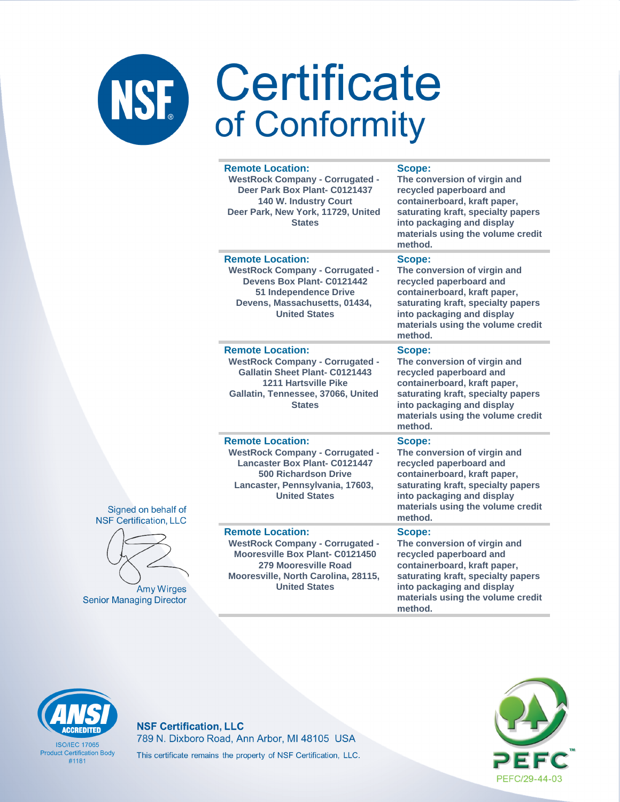|               | <b>Remote Location:</b><br><b>WestRock Company - Corrugated -</b><br>Deer Park Box Plant- C0121437<br><b>140 W. Industry Court</b><br>Deer Park, New York, 11729, United<br><b>States</b>           | Scope:<br>The conversion of virgin and<br>recycled paperboard and<br>containerboard, kraft paper,<br>saturating kraft, specialty papers<br>into packaging and display<br>materials using the volume credit<br>method. |
|---------------|-----------------------------------------------------------------------------------------------------------------------------------------------------------------------------------------------------|-----------------------------------------------------------------------------------------------------------------------------------------------------------------------------------------------------------------------|
|               | <b>Remote Location:</b><br><b>WestRock Company - Corrugated -</b><br>Devens Box Plant- C0121442<br>51 Independence Drive<br>Devens, Massachusetts, 01434,<br><b>United States</b>                   | Scope:<br>The conversion of virgin and<br>recycled paperboard and<br>containerboard, kraft paper,<br>saturating kraft, specialty papers<br>into packaging and display<br>materials using the volume credit<br>method. |
|               | <b>Remote Location:</b><br><b>WestRock Company - Corrugated -</b><br><b>Gallatin Sheet Plant- C0121443</b><br><b>1211 Hartsville Pike</b><br>Gallatin, Tennessee, 37066, United<br><b>States</b>    | Scope:<br>The conversion of virgin and<br>recycled paperboard and<br>containerboard, kraft paper,<br>saturating kraft, specialty papers<br>into packaging and display<br>materials using the volume credit<br>method. |
| llf of<br>LLC | <b>Remote Location:</b><br><b>WestRock Company - Corrugated -</b><br><b>Lancaster Box Plant- C0121447</b><br><b>500 Richardson Drive</b><br>Lancaster, Pennsylvania, 17603,<br><b>United States</b> | Scope:<br>The conversion of virgin and<br>recycled paperboard and<br>containerboard, kraft paper,<br>saturating kraft, specialty papers<br>into packaging and display<br>materials using the volume credit<br>method. |
| rges<br>:ctor | <b>Remote Location:</b><br><b>WestRock Company - Corrugated -</b><br>Mooresville Box Plant- C0121450<br>279 Mooresville Road<br>Mooresville, North Carolina, 28115,<br><b>United States</b>         | Scope:<br>The conversion of virgin and<br>recycled paperboard and<br>containerboard, kraft paper,<br>saturating kraft, specialty papers<br>into packaging and display<br>materials using the volume credit<br>method. |

### Signed on beha **NSF** Certification,



Amy Wir **Senior Managing Dire** 

### **CCREDITED**

**ISO/IEC 17065 Product Certification Body**  $#1181$ 

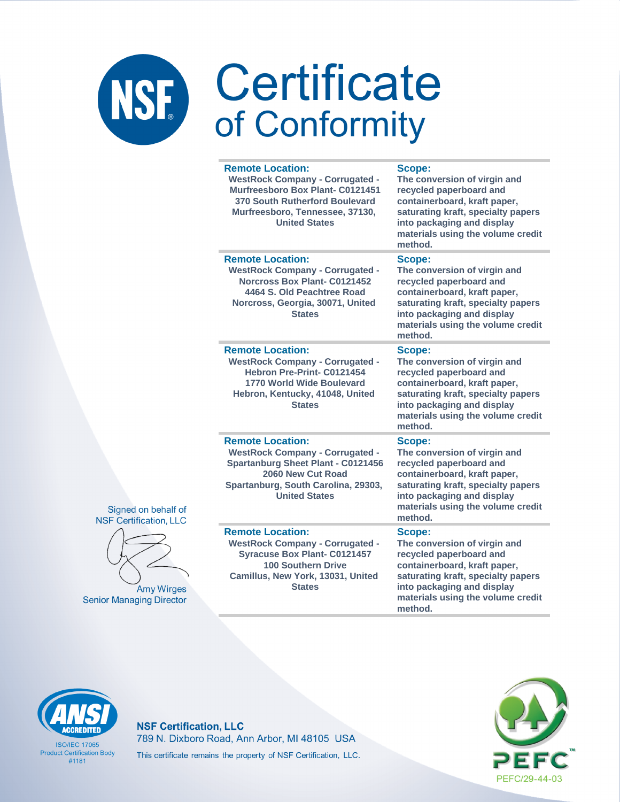| <b>Remote Location:</b><br><b>WestRock Company - Corrugated -</b><br>Murfreesboro Box Plant- C0121451<br>370 South Rutherford Boulevard<br>Murfreesboro, Tennessee, 37130,<br><b>United States</b> | Scope:<br>The conversion of virgin and<br>recycled paperboard and<br>containerboard, kraft paper,<br>saturating kraft, specialty papers<br>into packaging and display<br>materials using the volume credit<br>method. |
|----------------------------------------------------------------------------------------------------------------------------------------------------------------------------------------------------|-----------------------------------------------------------------------------------------------------------------------------------------------------------------------------------------------------------------------|
| <b>Remote Location:</b><br><b>WestRock Company - Corrugated -</b><br><b>Norcross Box Plant- C0121452</b><br>4464 S. Old Peachtree Road<br>Norcross, Georgia, 30071, United<br><b>States</b>        | Scope:<br>The conversion of virgin and<br>recycled paperboard and<br>containerboard, kraft paper,<br>saturating kraft, specialty papers<br>into packaging and display<br>materials using the volume credit<br>method. |
| <b>Remote Location:</b><br><b>WestRock Company - Corrugated -</b><br>Hebron Pre-Print- C0121454<br>1770 World Wide Boulevard<br>Hebron, Kentucky, 41048, United<br><b>States</b>                   | Scope:<br>The conversion of virgin and<br>recycled paperboard and<br>containerboard, kraft paper,<br>saturating kraft, specialty papers<br>into packaging and display<br>materials using the volume credit<br>method. |
| <b>Remote Location:</b><br><b>WestRock Company - Corrugated -</b><br><b>Spartanburg Sheet Plant - C0121456</b><br>2060 New Cut Road<br>Spartanburg, South Carolina, 29303,<br><b>United States</b> | Scope:<br>The conversion of virgin and<br>recycled paperboard and<br>containerboard, kraft paper,<br>saturating kraft, specialty papers<br>into packaging and display<br>materials using the volume credit<br>method. |
| <b>Remote Location:</b><br><b>WestRock Company - Corrugated -</b><br><b>Syracuse Box Plant- C0121457</b><br><b>100 Southern Drive</b><br>Camillus, New York, 13031, United<br><b>States</b>        | Scope:<br>The conversion of virgin and<br>recycled paperboard and<br>containerboard, kraft paper,<br>saturating kraft, specialty papers<br>into packaging and display<br>materials using the volume credit<br>method. |

Signed on behalf of **NSF Certification, LLC** 



**Amy Wirges Senior Managing Directo** 

### **CCREDITED**

**ISO/IEC 17065 Product Certification Body**  $#1181$ 

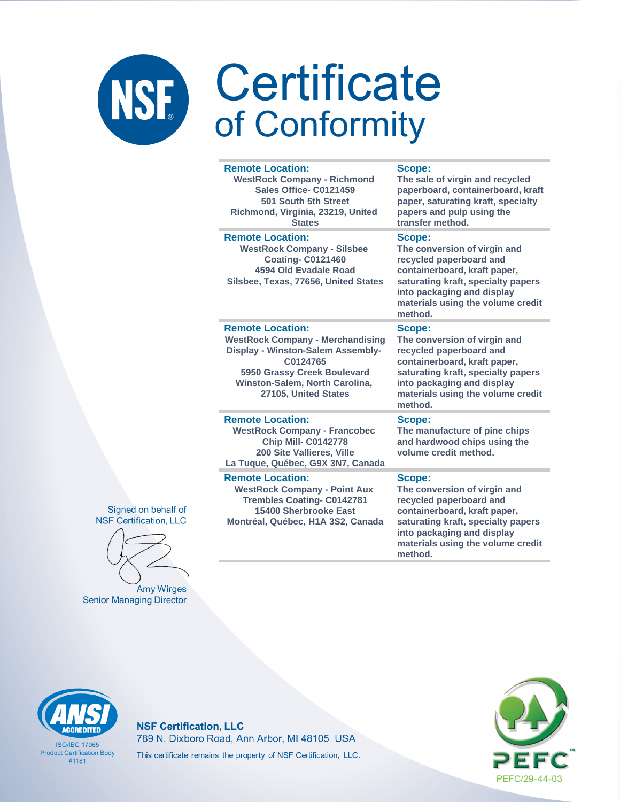| <b>Remote Location:</b><br><b>WestRock Company - Richmond</b><br>Sales Office- C0121459<br>501 South 5th Street<br>Richmond, Virginia, 23219, United<br><b>States</b>                                        | <b>Scope:</b><br>The sale of virgin and recycled<br>paperboard, containerboard, kraft<br>paper, saturating kraft, specialty<br>papers and pulp using the<br>transfer method.                                          |
|--------------------------------------------------------------------------------------------------------------------------------------------------------------------------------------------------------------|-----------------------------------------------------------------------------------------------------------------------------------------------------------------------------------------------------------------------|
| <b>Remote Location:</b><br><b>WestRock Company - Silsbee</b><br><b>Coating-C0121460</b><br>4594 Old Evadale Road<br>Silsbee, Texas, 77656, United States                                                     | Scope:<br>The conversion of virgin and<br>recycled paperboard and<br>containerboard, kraft paper,<br>saturating kraft, specialty papers<br>into packaging and display<br>materials using the volume credit<br>method. |
| <b>Remote Location:</b><br><b>WestRock Company - Merchandising</b><br>Display - Winston-Salem Assembly-<br>C0124765<br>5950 Grassy Creek Boulevard<br>Winston-Salem, North Carolina,<br>27105, United States | Scope:<br>The conversion of virgin and<br>recycled paperboard and<br>containerboard, kraft paper,<br>saturating kraft, specialty papers<br>into packaging and display<br>materials using the volume credit<br>method. |
| <b>Remote Location:</b><br><b>WestRock Company - Francobec</b><br><b>Chip Mill- C0142778</b><br>200 Site Vallieres, Ville<br>La Tuque, Québec, G9X 3N7, Canada                                               | Scope:<br>The manufacture of pine chips<br>and hardwood chips using the<br>volume credit method.                                                                                                                      |
| <b>Remote Location:</b><br><b>WestRock Company - Point Aux</b><br><b>Trembles Coating- C0142781</b><br>15400 Sherbrooke East<br>Montréal, Québec, H1A 3S2, Canada                                            | Scope:<br>The conversion of virgin and<br>recycled paperboard and<br>containerboard, kraft paper,<br>saturating kraft, specialty papers<br>into packaging and display<br>materials using the volume credit<br>method. |



**Amy Wirges Senior Managing Director** 

# **ACCREDITED**

**ISO/IEC 17065 Product Certification Body**  $#1181$ 

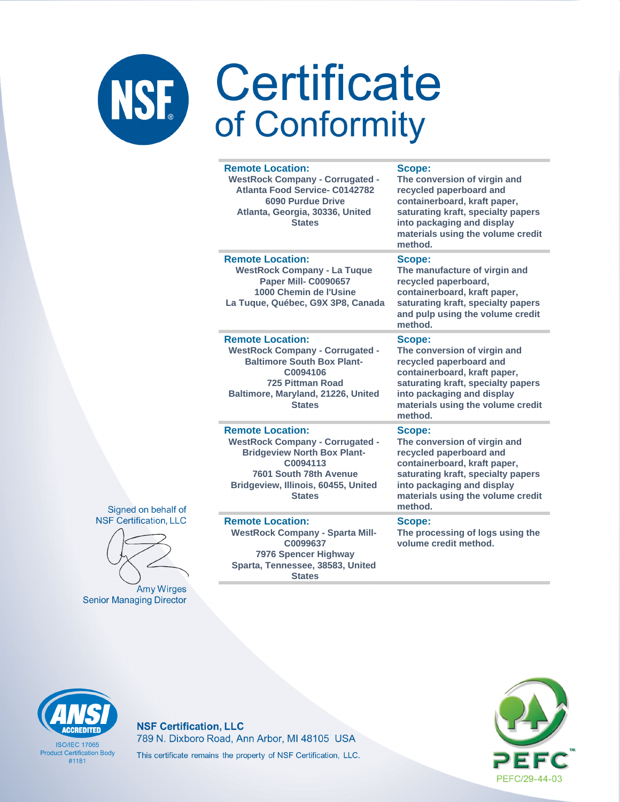### Certificate NSF. of Conformity

### **Remote Location:**

**WestRock Company - Corrugated - Atlanta Food Service- C0142782 6090 Purdue Drive Atlanta, Georgia, 30336, United States**

### **Scope:**

**The conversion of virgin and recycled paperboard and containerboard, kraft paper, saturating kraft, specialty papers into packaging and display materials using the volume credit method.**

### **Remote Location:**

**WestRock Company - La Tuque Paper Mill- C0090657 1000 Chemin de l'Usine La Tuque, Québec, G9X 3P8, Canada**

### **Remote Location:**

**WestRock Company - Corrugated - Baltimore South Box Plant-C0094106 725 Pittman Road Baltimore, Maryland, 21226, United States**

### **Remote Location:**

**WestRock Company - Corrugated - Bridgeview North Box Plant-C0094113 7601 South 78th Avenue Bridgeview, Illinois, 60455, United States**

### **Remote Location:**

**WestRock Company - Sparta Mill-C0099637 7976 Spencer Highway Sparta, Tennessee, 38583, United States**

### **Scope:**

**The manufacture of virgin and recycled paperboard, containerboard, kraft paper, saturating kraft, specialty papers and pulp using the volume credit method.**

### **Scope:**

**The conversion of virgin and recycled paperboard and containerboard, kraft paper, saturating kraft, specialty papers into packaging and display materials using the volume credit method.**

### **Scope:**

**The conversion of virgin and recycled paperboard and containerboard, kraft paper, saturating kraft, specialty papers into packaging and display materials using the volume credit method.**

### **Scope:**

**The processing of logs using the volume credit method.**

**NSF Certification, LLC** 

Signed on behalf of



**Amy Wirges Senior Managing Director** 



**ISO/IFC 17065 Product Certification Body** #1181

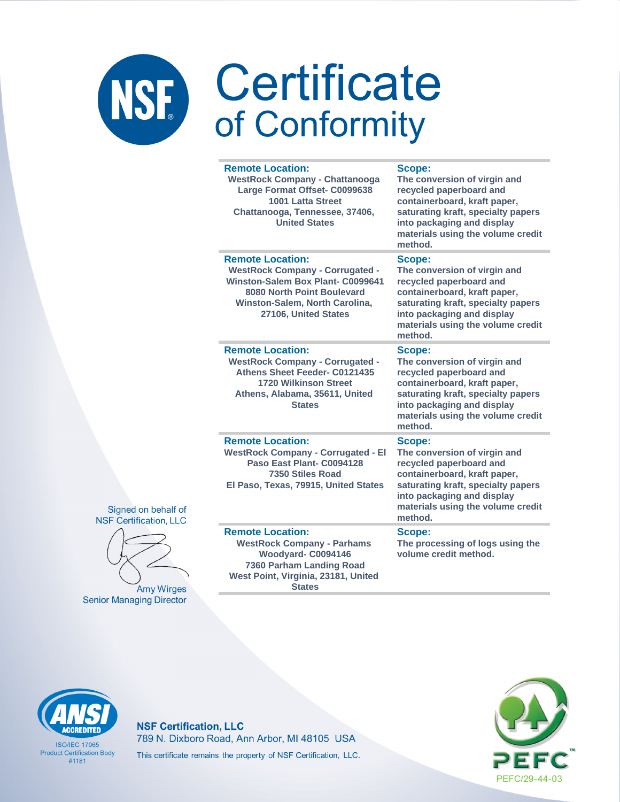|                     | <b>Remote Location:</b><br><b>WestRock Company - Chattanooga</b><br>Large Format Offset- C0099638<br><b>1001 Latta Street</b><br>Chattanooga, Tennessee, 37406,<br><b>United States</b>               | Scope:<br>The conversion of virgin and<br>recycled paperboard and<br>containerboard, kraft paper,<br>saturating kraft, specialty papers<br>into packaging and display<br>materials using the volume credit<br>method. |
|---------------------|-------------------------------------------------------------------------------------------------------------------------------------------------------------------------------------------------------|-----------------------------------------------------------------------------------------------------------------------------------------------------------------------------------------------------------------------|
|                     | <b>Remote Location:</b><br><b>WestRock Company - Corrugated -</b><br><b>Winston-Salem Box Plant- C0099641</b><br>8080 North Point Boulevard<br>Winston-Salem, North Carolina,<br>27106, United States | Scope:<br>The conversion of virgin and<br>recycled paperboard and<br>containerboard, kraft paper,<br>saturating kraft, specialty papers<br>into packaging and display<br>materials using the volume credit<br>method. |
|                     | <b>Remote Location:</b><br><b>WestRock Company - Corrugated -</b><br>Athens Sheet Feeder- C0121435<br><b>1720 Wilkinson Street</b><br>Athens, Alabama, 35611, United<br><b>States</b>                 | Scope:<br>The conversion of virgin and<br>recycled paperboard and<br>containerboard, kraft paper,<br>saturating kraft, specialty papers<br>into packaging and display<br>materials using the volume credit<br>method. |
| ehalf of<br>on, LLC | <b>Remote Location:</b><br><b>WestRock Company - Corrugated - El</b><br>Paso East Plant- C0094128<br>7350 Stiles Road<br>El Paso, Texas, 79915, United States                                         | Scope:<br>The conversion of virgin and<br>recycled paperboard and<br>containerboard, kraft paper,<br>saturating kraft, specialty papers<br>into packaging and display<br>materials using the volume credit<br>method. |
| Wirges              | <b>Remote Location:</b><br><b>WestRock Company - Parhams</b><br>Woodyard-C0094146<br>7360 Parham Landing Road<br>West Point, Virginia, 23181, United<br><b>States</b>                                 | Scope:<br>The processing of logs using the<br>volume credit method.                                                                                                                                                   |





Amy **Senior Managing Director** 

### **ACCREDITED**

**ISO/IEC 17065 Product Certification Body**  $#1181$ 

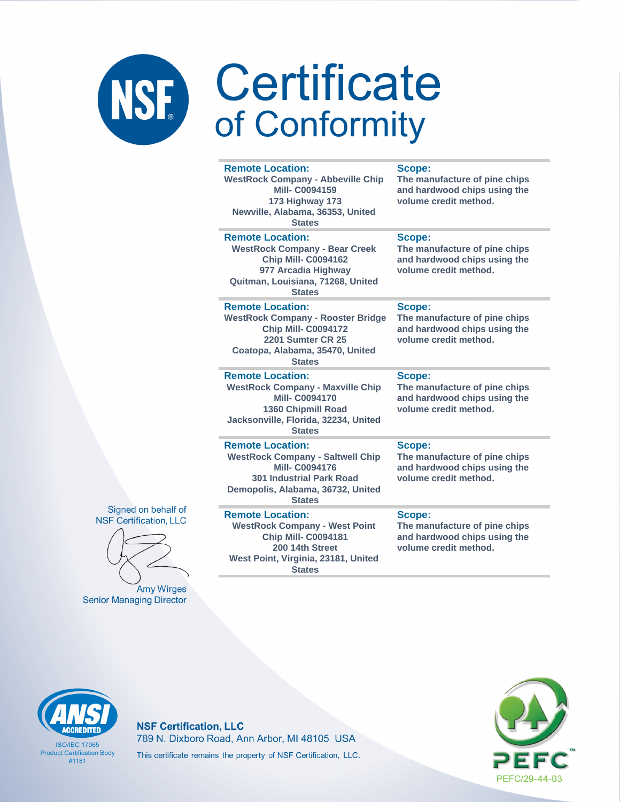| <b>Remote Location:</b><br><b>WestRock Company - Abbeville Chip</b><br><b>Mill-C0094159</b><br>173 Highway 173<br>Newville, Alabama, 36353, United<br><b>States</b>                 | Scope:<br>The manufacture of pine chips<br>and hardwood chips using the<br>volume credit method. |
|-------------------------------------------------------------------------------------------------------------------------------------------------------------------------------------|--------------------------------------------------------------------------------------------------|
| <b>Remote Location:</b><br><b>WestRock Company - Bear Creek</b><br><b>Chip Mill- C0094162</b><br>977 Arcadia Highway<br>Quitman, Louisiana, 71268, United<br><b>States</b>          | Scope:<br>The manufacture of pine chips<br>and hardwood chips using the<br>volume credit method. |
| <b>Remote Location:</b><br><b>WestRock Company - Rooster Bridge</b><br><b>Chip Mill- C0094172</b><br><b>2201 Sumter CR 25</b><br>Coatopa, Alabama, 35470, United<br><b>States</b>   | Scope:<br>The manufacture of pine chips<br>and hardwood chips using the<br>volume credit method. |
| <b>Remote Location:</b><br><b>WestRock Company - Maxville Chip</b><br><b>Mill-C0094170</b><br><b>1360 Chipmill Road</b><br>Jacksonville, Florida, 32234, United<br><b>States</b>    | Scope:<br>The manufacture of pine chips<br>and hardwood chips using the<br>volume credit method. |
| <b>Remote Location:</b><br><b>WestRock Company - Saltwell Chip</b><br><b>Mill-C0094176</b><br><b>301 Industrial Park Road</b><br>Demopolis, Alabama, 36732, United<br><b>States</b> | Scope:<br>The manufacture of pine chips<br>and hardwood chips using the<br>volume credit method. |
| <b>Remote Location:</b><br><b>WestRock Company - West Point</b><br><b>Chip Mill- C0094181</b><br>200 14th Street                                                                    | Scope:<br>The manufacture of pine chips<br>and hardwood chips using the<br>volume credit method. |



**Amy Wirges Senior Managing Director** 

**ISO/IFC 17065 Product Certification Body**  $#1181$ 

**NSF Certification, LLC** 789 N. Dixboro Road, Ann Arbor, MI 48105 USA This certificate remains the property of NSF Certification, LLC.

West Point, Virginia, 23181, United **States** 

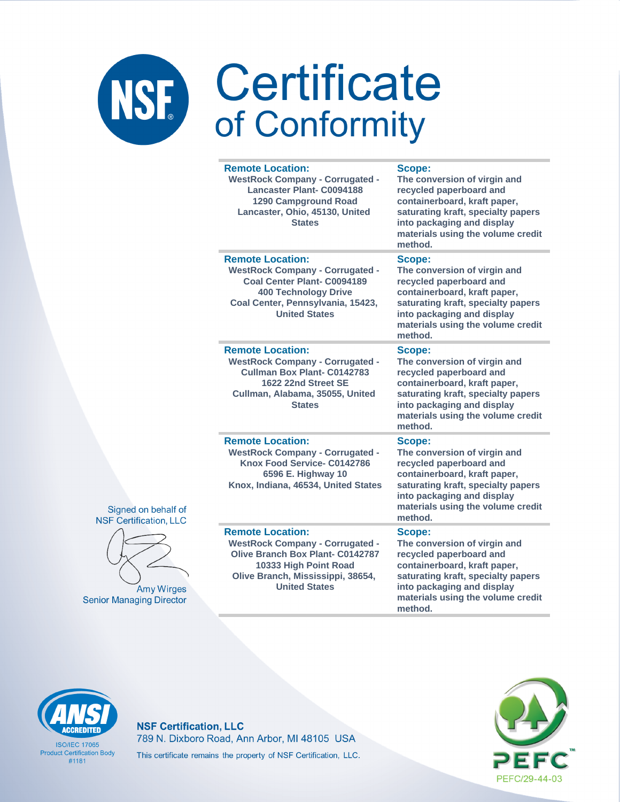|                    | <b>Remote Location:</b><br><b>WestRock Company - Corrugated -</b><br><b>Lancaster Plant- C0094188</b><br><b>1290 Campground Road</b><br>Lancaster, Ohio, 45130, United<br><b>States</b>            | Scope:<br>The conversion of virgin and<br>recycled paperboard and<br>containerboard, kraft paper,<br>saturating kraft, specialty papers<br>into packaging and display<br>materials using the volume credit<br>method. |
|--------------------|----------------------------------------------------------------------------------------------------------------------------------------------------------------------------------------------------|-----------------------------------------------------------------------------------------------------------------------------------------------------------------------------------------------------------------------|
|                    | <b>Remote Location:</b><br><b>WestRock Company - Corrugated -</b><br>Coal Center Plant- C0094189<br><b>400 Technology Drive</b><br>Coal Center, Pennsylvania, 15423,<br><b>United States</b>       | Scope:<br>The conversion of virgin and<br>recycled paperboard and<br>containerboard, kraft paper,<br>saturating kraft, specialty papers<br>into packaging and display<br>materials using the volume credit<br>method. |
|                    | <b>Remote Location:</b><br><b>WestRock Company - Corrugated -</b><br>Cullman Box Plant- C0142783<br>1622 22nd Street SE<br>Cullman, Alabama, 35055, United<br><b>States</b>                        | Scope:<br>The conversion of virgin and<br>recycled paperboard and<br>containerboard, kraft paper,<br>saturating kraft, specialty papers<br>into packaging and display<br>materials using the volume credit<br>method. |
| If of<br><b>LC</b> | <b>Remote Location:</b><br><b>WestRock Company - Corrugated -</b><br>Knox Food Service- C0142786<br>6596 E. Highway 10<br>Knox, Indiana, 46534, United States                                      | Scope:<br>The conversion of virgin and<br>recycled paperboard and<br>containerboard, kraft paper,<br>saturating kraft, specialty papers<br>into packaging and display<br>materials using the volume credit<br>method. |
| ges<br>ctor        | <b>Remote Location:</b><br><b>WestRock Company - Corrugated -</b><br><b>Olive Branch Box Plant- C0142787</b><br>10333 High Point Road<br>Olive Branch, Mississippi, 38654,<br><b>United States</b> | Scope:<br>The conversion of virgin and<br>recycled paperboard and<br>containerboard, kraft paper,<br>saturating kraft, specialty papers<br>into packaging and display<br>materials using the volume credit<br>method. |





Amy Wir **Senior Managing Dire** 

# **ACCREDITED**

**ISO/IEC 17065 Product Certification Body**  $#1181$ 

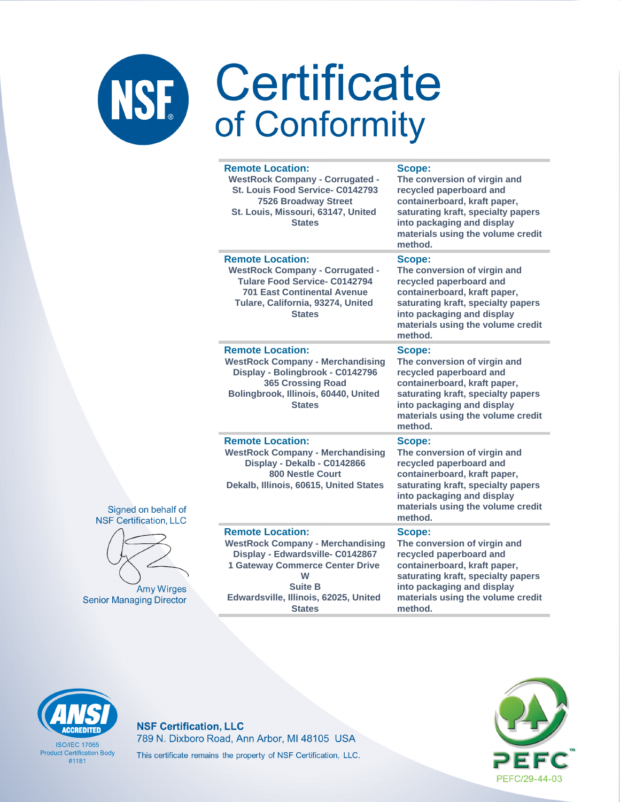|                                                      | <b>Remote Location:</b><br><b>WestRock Company - Corrugated -</b><br>St. Louis Food Service- C0142793<br><b>7526 Broadway Street</b><br>St. Louis, Missouri, 63147, United<br><b>States</b>                                       | Scope:<br>The conversion of virgin and<br>recycled paperboard and<br>containerboard, kraft paper,<br>saturating kraft, specialty papers<br>into packaging and display<br>materials using the volume credit<br>method. |
|------------------------------------------------------|-----------------------------------------------------------------------------------------------------------------------------------------------------------------------------------------------------------------------------------|-----------------------------------------------------------------------------------------------------------------------------------------------------------------------------------------------------------------------|
|                                                      | <b>Remote Location:</b><br><b>WestRock Company - Corrugated -</b><br><b>Tulare Food Service- C0142794</b><br><b>701 East Continental Avenue</b><br>Tulare, California, 93274, United<br><b>States</b>                             | Scope:<br>The conversion of virgin and<br>recycled paperboard and<br>containerboard, kraft paper,<br>saturating kraft, specialty papers<br>into packaging and display<br>materials using the volume credit<br>method. |
|                                                      | <b>Remote Location:</b><br><b>WestRock Company - Merchandising</b><br>Display - Bolingbrook - C0142796<br><b>365 Crossing Road</b><br>Bolingbrook, Illinois, 60440, United<br><b>States</b>                                       | Scope:<br>The conversion of virgin and<br>recycled paperboard and<br>containerboard, kraft paper,<br>saturating kraft, specialty papers<br>into packaging and display<br>materials using the volume credit<br>method. |
| Signed on behalf of<br><b>NSF Certification, LLC</b> | <b>Remote Location:</b><br><b>WestRock Company - Merchandising</b><br>Display - Dekalb - C0142866<br><b>800 Nestle Court</b><br>Dekalb, Illinois, 60615, United States                                                            | Scope:<br>The conversion of virgin and<br>recycled paperboard and<br>containerboard, kraft paper,<br>saturating kraft, specialty papers<br>into packaging and display<br>materials using the volume credit<br>method. |
| <b>Amy Wirges</b><br><b>Senior Managing Director</b> | <b>Remote Location:</b><br><b>WestRock Company - Merchandising</b><br>Display - Edwardsville- C0142867<br><b>1 Gateway Commerce Center Drive</b><br>W<br><b>Suite B</b><br>Edwardsville, Illinois, 62025, United<br><b>States</b> | Scope:<br>The conversion of virgin and<br>recycled paperboard and<br>containerboard, kraft paper,<br>saturating kraft, specialty papers<br>into packaging and display<br>materials using the volume credit<br>method. |



**ISO/IEC 17065 Product Certification Body**  $#1181$ 

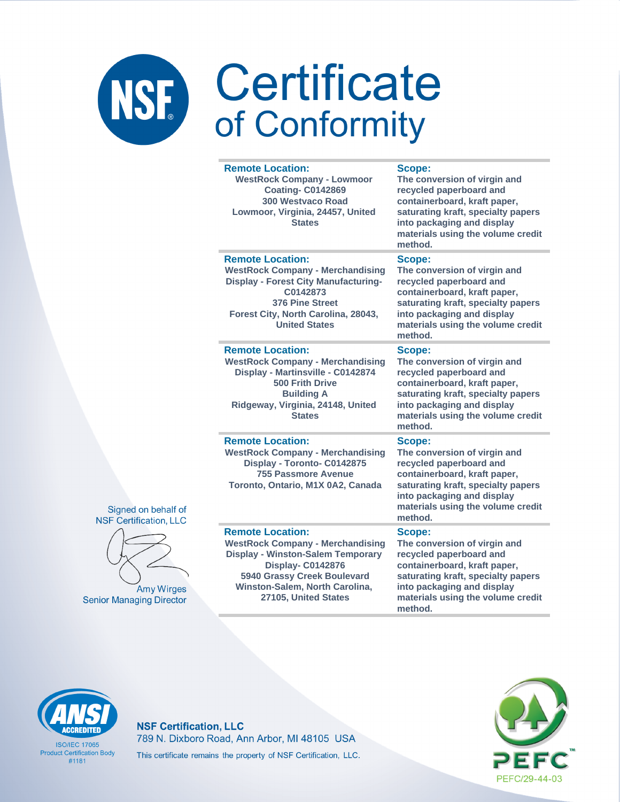### Certificate NSF. of Conformity

### **Remote Location:**

**WestRock Company - Lowmoor Coating- C0142869 300 Westvaco Road Lowmoor, Virginia, 24457, United States**

### **Scope:**

**The conversion of virgin and recycled paperboard and containerboard, kraft paper, saturating kraft, specialty papers into packaging and display materials using the volume credit method.**

**The conversion of virgin and recycled paperboard and containerboard, kraft paper, saturating kraft, specialty papers into packaging and display** 

**The conversion of virgin and recycled paperboard and containerboard, kraft paper, saturating kraft, specialty papers into packaging and display materials using the volume credit** 

### **Remote Location:**

**WestRock Company - Merchandising Display - Forest City Manufacturing-C0142873 376 Pine Street Forest City, North Carolina, 28043, United States**

### **materials using the volume credit**

**method.**

**Scope:**

**Scope:**

**Remote Location: WestRock Company - Merchandising Display - Martinsville - C0142874 500 Frith Drive Building A Ridgeway, Virginia, 24148, United States**

### **Remote Location:**

**WestRock Company - Merchandising Display - Toronto- C0142875 755 Passmore Avenue Toronto, Ontario, M1X 0A2, Canada**

### **Remote Location:**

**WestRock Company - Merchandising Display - Winston-Salem Temporary Display- C0142876 5940 Grassy Creek Boulevard Winston-Salem, North Carolina, 27105, United States**

### **method. Scope:**

**The conversion of virgin and recycled paperboard and containerboard, kraft paper, saturating kraft, specialty papers into packaging and display materials using the volume credit method.**

### **Scope:**

**The conversion of virgin and recycled paperboard and containerboard, kraft paper, saturating kraft, specialty papers into packaging and display materials using the volume credit method.**



**ISO/IFC 17065 Product Certification Body** #1181

### **NSF Certification, LLC** 789 N. Dixboro Road, Ann Arbor, MI 48105 USA This certificate remains the property of NSF Certification, LLC.





Signed on behalf of

**Amy Wirges Senior Managing Director**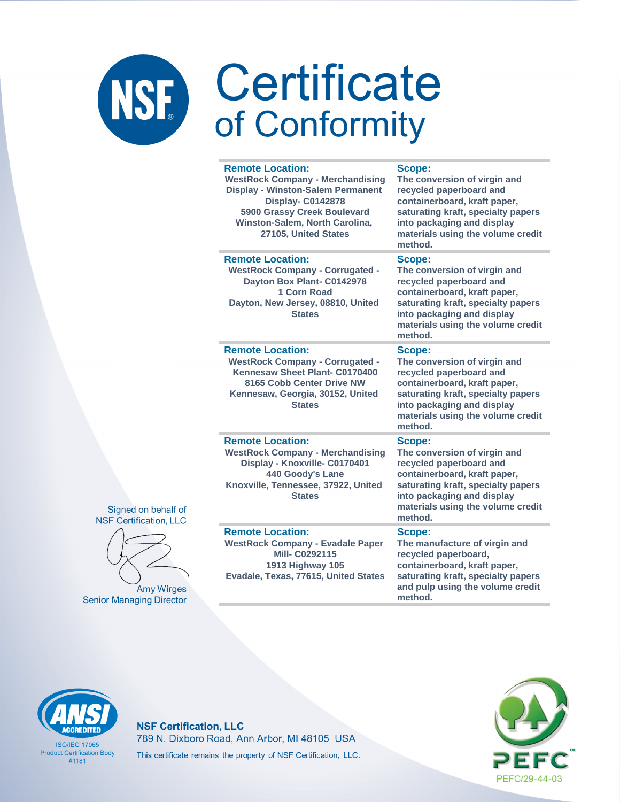|  | <b>Remote Location:</b><br><b>WestRock Company - Merchandising</b><br><b>Display - Winston-Salem Permanent</b><br><b>Display- C0142878</b><br>5900 Grassy Creek Boulevard<br>Winston-Salem, North Carolina,<br>27105, United States | Scope:<br>The conversion of virgin and<br>recycled paperboard and<br>containerboard, kraft paper,<br>saturating kraft, specialty papers<br>into packaging and display<br>materials using the volume credit<br>method.        |
|--|-------------------------------------------------------------------------------------------------------------------------------------------------------------------------------------------------------------------------------------|------------------------------------------------------------------------------------------------------------------------------------------------------------------------------------------------------------------------------|
|  | <b>Remote Location:</b><br><b>WestRock Company - Corrugated -</b><br>Dayton Box Plant- C0142978<br>1 Corn Road<br>Dayton, New Jersey, 08810, United<br><b>States</b>                                                                | Scope:<br>The conversion of virgin and<br>recycled paperboard and<br>containerboard, kraft paper,<br>saturating kraft, specialty papers<br>into packaging and display<br>materials using the volume credit<br>method.        |
|  | <b>Remote Location:</b><br><b>WestRock Company - Corrugated -</b><br>Kennesaw Sheet Plant- C0170400<br>8165 Cobb Center Drive NW<br>Kennesaw, Georgia, 30152, United<br><b>States</b>                                               | <b>Scope:</b><br>The conversion of virgin and<br>recycled paperboard and<br>containerboard, kraft paper,<br>saturating kraft, specialty papers<br>into packaging and display<br>materials using the volume credit<br>method. |
|  | <b>Remote Location:</b><br><b>WestRock Company - Merchandising</b><br>Display - Knoxville- C0170401<br>440 Goody's Lane<br>Knoxville, Tennessee, 37922, United<br><b>States</b>                                                     | Scope:<br>The conversion of virgin and<br>recycled paperboard and<br>containerboard, kraft paper,<br>saturating kraft, specialty papers<br>into packaging and display<br>materials using the volume credit<br>method.        |
|  | <b>Remote Location:</b><br><b>WestRock Company - Evadale Paper</b><br>Mill- C0292115<br><b>1913 Highway 105</b><br>Evadale, Texas, 77615, United States                                                                             | Scope:<br>The manufacture of virgin and<br>recycled paperboard,<br>containerboard, kraft paper,<br>saturating kraft, specialty papers<br>and pulp using the volume credit<br>method.                                         |

### Signed on behalf of **NSF Certification, LLC**



**Amy Wirges Senior Managing Director** 

### **ACCREDITED**

**ISO/IEC 17065 Product Certification Body**  $#1181$ 

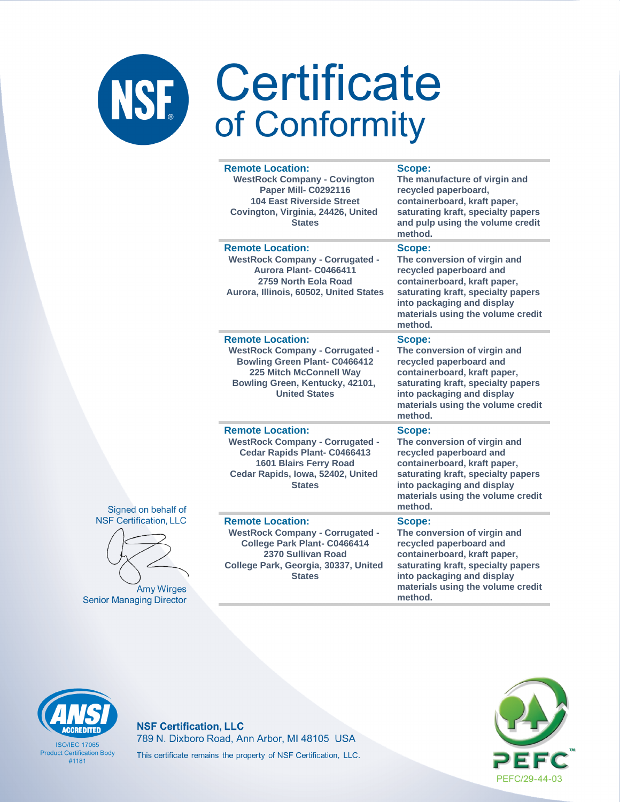| <b>Remote Location:</b><br><b>WestRock Company - Covington</b><br><b>Paper Mill- C0292116</b><br><b>104 East Riverside Street</b><br>Covington, Virginia, 24426, United<br><b>States</b>               | Scope:<br>The manufacture of virgin and<br>recycled paperboard,<br>containerboard, kraft paper,<br>saturating kraft, specialty papers<br>and pulp using the volume credit<br>method.                                  |
|--------------------------------------------------------------------------------------------------------------------------------------------------------------------------------------------------------|-----------------------------------------------------------------------------------------------------------------------------------------------------------------------------------------------------------------------|
| <b>Remote Location:</b><br><b>WestRock Company - Corrugated -</b><br>Aurora Plant- C0466411<br>2759 North Eola Road<br>Aurora, Illinois, 60502, United States                                          | Scope:<br>The conversion of virgin and<br>recycled paperboard and<br>containerboard, kraft paper,<br>saturating kraft, specialty papers<br>into packaging and display<br>materials using the volume credit<br>method. |
| <b>Remote Location:</b><br><b>WestRock Company - Corrugated -</b><br><b>Bowling Green Plant- C0466412</b><br><b>225 Mitch McConnell Way</b><br>Bowling Green, Kentucky, 42101,<br><b>United States</b> | Scope:<br>The conversion of virgin and<br>recycled paperboard and<br>containerboard, kraft paper,<br>saturating kraft, specialty papers<br>into packaging and display<br>materials using the volume credit<br>method. |
| <b>Remote Location:</b><br><b>WestRock Company - Corrugated -</b><br>Cedar Rapids Plant- C0466413<br>1601 Blairs Ferry Road<br>Cedar Rapids, Iowa, 52402, United<br><b>States</b>                      | Scope:<br>The conversion of virgin and<br>recycled paperboard and<br>containerboard, kraft paper,<br>saturating kraft, specialty papers<br>into packaging and display<br>materials using the volume credit<br>method. |
| <b>Remote Location:</b><br><b>WestRock Company - Corrugated -</b><br>College Park Plant- C0466414<br>2370 Sullivan Road<br>College Park, Georgia, 30337, United<br><b>States</b>                       | Scope:<br>The conversion of virgin and<br>recycled paperboard and<br>containerboard, kraft paper,<br>saturating kraft, specialty papers<br>into packaging and display<br>materials using the volume credit            |

method.



Signed on behalf of



# **ACCREDITED**

**ISO/IEC 17065 Product Certification Body**  $#1181$ 

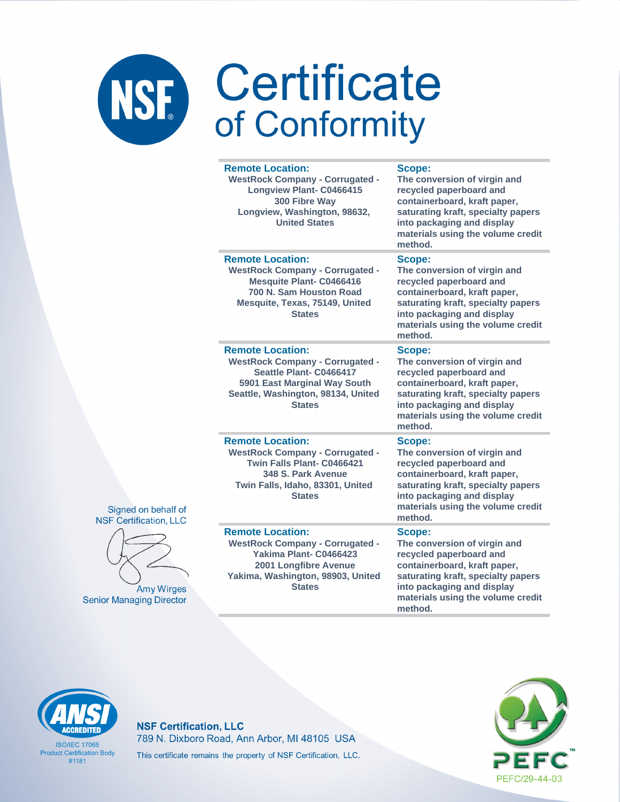|                      | <b>Remote Location:</b><br><b>WestRock Company - Corrugated -</b><br><b>Longview Plant- C0466415</b><br>300 Fibre Way<br>Longview, Washington, 98632,<br><b>United States</b>       | <b>Scope:</b><br>The conversion of virgin and<br>recycled paperboard and<br>containerboard, kraft paper,<br>saturating kraft, specialty papers<br>into packaging and display<br>materials using the volume credit<br>method. |
|----------------------|-------------------------------------------------------------------------------------------------------------------------------------------------------------------------------------|------------------------------------------------------------------------------------------------------------------------------------------------------------------------------------------------------------------------------|
|                      | <b>Remote Location:</b><br><b>WestRock Company - Corrugated -</b><br><b>Mesquite Plant- C0466416</b><br>700 N. Sam Houston Road<br>Mesquite, Texas, 75149, United<br><b>States</b>  | Scope:<br>The conversion of virgin and<br>recycled paperboard and<br>containerboard, kraft paper,<br>saturating kraft, specialty papers<br>into packaging and display<br>materials using the volume credit<br>method.        |
|                      | <b>Remote Location:</b><br><b>WestRock Company - Corrugated -</b><br>Seattle Plant- C0466417<br>5901 East Marginal Way South<br>Seattle, Washington, 98134, United<br><b>States</b> | Scope:<br>The conversion of virgin and<br>recycled paperboard and<br>containerboard, kraft paper,<br>saturating kraft, specialty papers<br>into packaging and display<br>materials using the volume credit<br>method.        |
| alf of<br><b>LLC</b> | <b>Remote Location:</b><br><b>WestRock Company - Corrugated -</b><br>Twin Falls Plant- C0466421<br>348 S. Park Avenue<br>Twin Falls, Idaho, 83301, United<br><b>States</b>          | Scope:<br>The conversion of virgin and<br>recycled paperboard and<br>containerboard, kraft paper,<br>saturating kraft, specialty papers<br>into packaging and display<br>materials using the volume credit<br>method.        |
| irges<br>ector       | <b>Remote Location:</b><br><b>WestRock Company - Corrugated -</b><br>Yakima Plant- C0466423<br>2001 Longfibre Avenue<br>Yakima, Washington, 98903, United<br><b>States</b>          | Scope:<br>The conversion of virgin and<br>recycled paperboard and<br>containerboard, kraft paper,<br>saturating kraft, specialty papers<br>into packaging and display<br>materials using the volume credit                   |

method.





Amy W **Senior Managing Dire** 

# **ACCREDITED**

**ISO/IEC 17065 Product Certification Body**  $#1181$ 

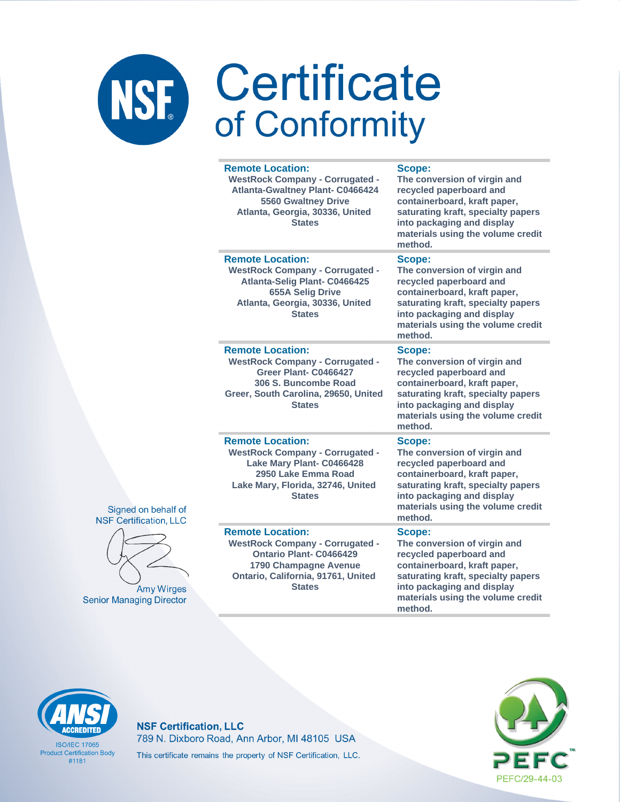|                   | <b>Remote Location:</b><br><b>WestRock Company - Corrugated -</b><br><b>Atlanta-Gwaltney Plant- C0466424</b><br><b>5560 Gwaltney Drive</b><br>Atlanta, Georgia, 30336, United<br><b>States</b> | Scope:<br>The conversion of virgin and<br>recycled paperboard and<br>containerboard, kraft paper,<br>saturating kraft, specialty papers<br>into packaging and display<br>materials using the volume credit<br>method. |
|-------------------|------------------------------------------------------------------------------------------------------------------------------------------------------------------------------------------------|-----------------------------------------------------------------------------------------------------------------------------------------------------------------------------------------------------------------------|
|                   | <b>Remote Location:</b><br><b>WestRock Company - Corrugated -</b><br>Atlanta-Selig Plant- C0466425<br><b>655A Selig Drive</b><br>Atlanta, Georgia, 30336, United<br><b>States</b>              | Scope:<br>The conversion of virgin and<br>recycled paperboard and<br>containerboard, kraft paper,<br>saturating kraft, specialty papers<br>into packaging and display<br>materials using the volume credit<br>method. |
|                   | <b>Remote Location:</b><br><b>WestRock Company - Corrugated -</b><br>Greer Plant- C0466427<br>306 S. Buncombe Road<br>Greer, South Carolina, 29650, United<br><b>States</b>                    | Scope:<br>The conversion of virgin and<br>recycled paperboard and<br>containerboard, kraft paper,<br>saturating kraft, specialty papers<br>into packaging and display<br>materials using the volume credit<br>method. |
| f of<br><b>LC</b> | <b>Remote Location:</b><br><b>WestRock Company - Corrugated -</b><br>Lake Mary Plant- C0466428<br>2950 Lake Emma Road<br>Lake Mary, Florida, 32746, United<br><b>States</b>                    | Scope:<br>The conversion of virgin and<br>recycled paperboard and<br>containerboard, kraft paper,<br>saturating kraft, specialty papers<br>into packaging and display<br>materials using the volume credit<br>method. |
| ges<br>etor       | <b>Remote Location:</b><br><b>WestRock Company - Corrugated -</b><br><b>Ontario Plant- C0466429</b><br>1790 Champagne Avenue<br>Ontario, California, 91761, United<br><b>States</b>            | Scope:<br>The conversion of virgin and<br>recycled paperboard and<br>containerboard, kraft paper,<br>saturating kraft, specialty papers<br>into packaging and display<br>materials using the volume credit            |

method.





Amy Wirg **Senior Managing Direo** 

# **ACCREDITED**

**ISO/IEC 17065 Product Certification Body**  $#1181$ 

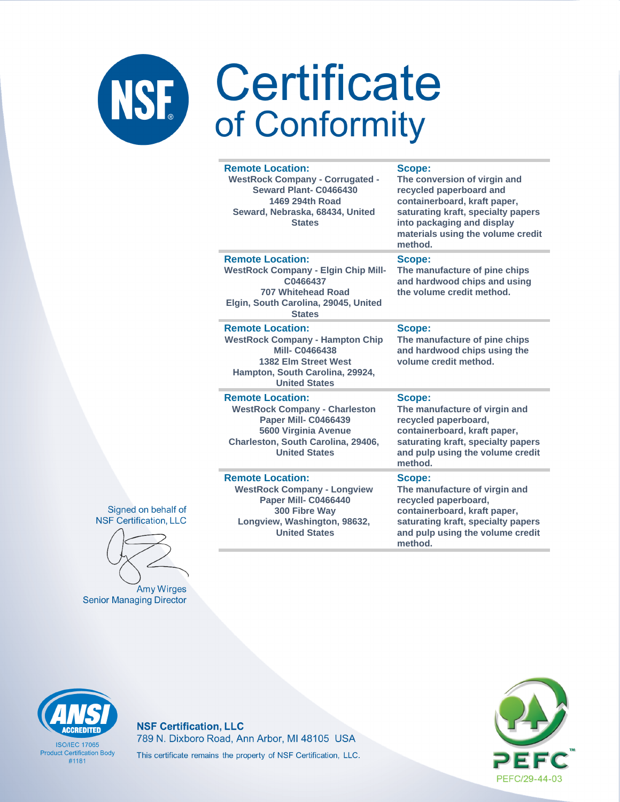### Certificate NSF. of Conformity

### **Remote Location:**

**WestRock Company - Corrugated - Seward Plant- C0466430 1469 294th Road Seward, Nebraska, 68434, United States**

**Scope:**

**The conversion of virgin and recycled paperboard and containerboard, kraft paper, saturating kraft, specialty papers into packaging and display materials using the volume credit method.**

### **Remote Location:**

**WestRock Company - Elgin Chip Mill-C0466437 707 Whitehead Road Elgin, South Carolina, 29045, United States**

### **Remote Location:**

**WestRock Company - Hampton Chip Mill- C0466438 1382 Elm Street West Hampton, South Carolina, 29924, United States**

### **Remote Location:**

**WestRock Company - Charleston Paper Mill- C0466439 5600 Virginia Avenue Charleston, South Carolina, 29406, United States**

### **Remote Location:**

**WestRock Company - Longview Paper Mill- C0466440 300 Fibre Way Longview, Washington, 98632, United States**

**Scope:**

**The manufacture of pine chips and hardwood chips and using the volume credit method.**

### **Scope:**

**The manufacture of pine chips and hardwood chips using the volume credit method.**

### **Scope:**

**The manufacture of virgin and recycled paperboard, containerboard, kraft paper, saturating kraft, specialty papers and pulp using the volume credit method.**

### **Scope:**

**The manufacture of virgin and recycled paperboard, containerboard, kraft paper, saturating kraft, specialty papers and pulp using the volume credit method.**





**Amy Wirges Senior Managing Director** 



**ISO/IFC 17065 Product Certification Body** #1181

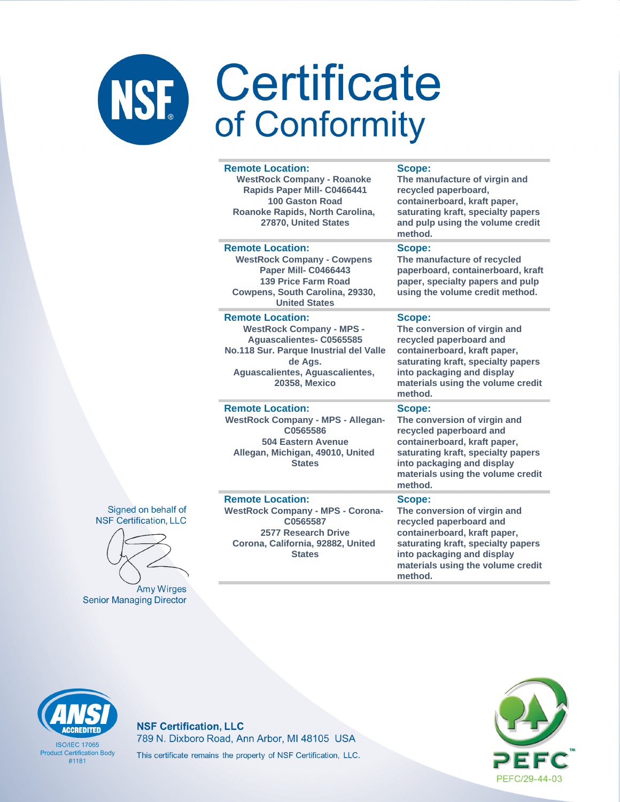| <b>Remote Location:</b><br><b>WestRock Company - Roanoke</b><br>Rapids Paper Mill- C0466441<br><b>100 Gaston Road</b><br>Roanoke Rapids, North Carolina,<br>27870, United States                       | Scope:<br>The manufacture of virgin and<br>recycled paperboard,<br>containerboard, kraft paper,<br>saturating kraft, specialty papers<br>and pulp using the volume credit<br>method.                                  |
|--------------------------------------------------------------------------------------------------------------------------------------------------------------------------------------------------------|-----------------------------------------------------------------------------------------------------------------------------------------------------------------------------------------------------------------------|
| <b>Remote Location:</b><br><b>WestRock Company - Cowpens</b><br>Paper Mill- C0466443<br><b>139 Price Farm Road</b><br>Cowpens, South Carolina, 29330,<br><b>United States</b>                          | Scope:<br>The manufacture of recycled<br>paperboard, containerboard, kraft<br>paper, specialty papers and pulp<br>using the volume credit method.                                                                     |
| <b>Remote Location:</b><br><b>WestRock Company - MPS -</b><br>Aguascalientes- C0565585<br>No.118 Sur. Parque Inustrial del Valle<br>de Ags.<br>Aguascalientes, Aguascalientes,<br><b>20358, Mexico</b> | Scope:<br>The conversion of virgin and<br>recycled paperboard and<br>containerboard, kraft paper,<br>saturating kraft, specialty papers<br>into packaging and display<br>materials using the volume credit<br>method. |
| <b>Remote Location:</b><br><b>WestRock Company - MPS - Allegan-</b><br>C0565586<br><b>504 Eastern Avenue</b><br>Allegan, Michigan, 49010, United<br><b>States</b>                                      | Scope:<br>The conversion of virgin and<br>recycled paperboard and<br>containerboard, kraft paper,<br>saturating kraft, specialty papers<br>into packaging and display<br>materials using the volume credit<br>method. |
| <b>Remote Location:</b><br><b>WestRock Company - MPS - Corona-</b><br>C0565587<br>2577 Research Drive<br>Corona, California, 92882, United                                                             | Scope:<br>The conversion of virgin and<br>recycled paperboard and<br>containerboard, kraft paper,<br>saturating kraft, specialty papers                                                                               |





Amy Wirges **Senior Managing Director** 

prnia, 92882, United **States** 

**ISO/IEC 17065 Product Certification Body**  $#1181$ 

**NSF Certification, LLC** 789 N. Dixboro Road, Ann Arbor, MI 48105 USA This certificate remains the property of NSF Certification, LLC.



into packaging and display

method.

materials using the volume credit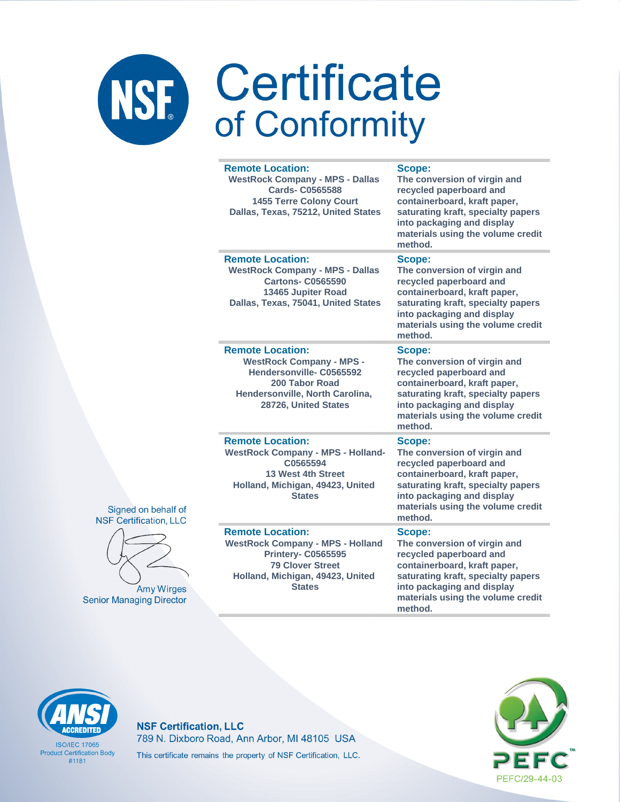# NSF Certificate

|                           | <b>Remote Location:</b><br><b>WestRock Company - MPS - Dallas</b><br><b>Cards-C0565588</b><br><b>1455 Terre Colony Court</b><br>Dallas, Texas, 75212, United States             | Scope:<br>The conversion of virgin and<br>recycled paperboard and<br>containerboard, kraft paper,<br>saturating kraft, specialty papers<br>into packaging and display<br>materials using the volume credit<br>method. |
|---------------------------|---------------------------------------------------------------------------------------------------------------------------------------------------------------------------------|-----------------------------------------------------------------------------------------------------------------------------------------------------------------------------------------------------------------------|
|                           | <b>Remote Location:</b><br><b>WestRock Company - MPS - Dallas</b><br><b>Cartons- C0565590</b><br>13465 Jupiter Road<br>Dallas, Texas, 75041, United States                      | Scope:<br>The conversion of virgin and<br>recycled paperboard and<br>containerboard, kraft paper,<br>saturating kraft, specialty papers<br>into packaging and display<br>materials using the volume credit<br>method. |
|                           | <b>Remote Location:</b><br><b>WestRock Company - MPS -</b><br>Hendersonville-C0565592<br>200 Tabor Road<br>Hendersonville, North Carolina,<br>28726, United States              | Scope:<br>The conversion of virgin and<br>recycled paperboard and<br>containerboard, kraft paper,<br>saturating kraft, specialty papers<br>into packaging and display<br>materials using the volume credit<br>method. |
| ehalf of<br>on, LLC       | <b>Remote Location:</b><br><b>WestRock Company - MPS - Holland-</b><br>C0565594<br><b>13 West 4th Street</b><br>Holland, Michigan, 49423, United<br><b>States</b>               | Scope:<br>The conversion of virgin and<br>recycled paperboard and<br>containerboard, kraft paper,<br>saturating kraft, specialty papers<br>into packaging and display<br>materials using the volume credit<br>method. |
| Wirges<br><b>Director</b> | <b>Remote Location:</b><br><b>WestRock Company - MPS - Holland</b><br><b>Printery- C0565595</b><br><b>79 Clover Street</b><br>Holland, Michigan, 49423, United<br><b>States</b> | Scope:<br>The conversion of virgin and<br>recycled paperboard and<br>containerboard, kraft paper,<br>saturating kraft, specialty papers<br>into packaging and display<br>materials using the volume credit            |

method.





Amy **Senior Managing** 

# **CCREDITED**

**ISO/IEC 17065 Product Certification Body**  $#1181$ 

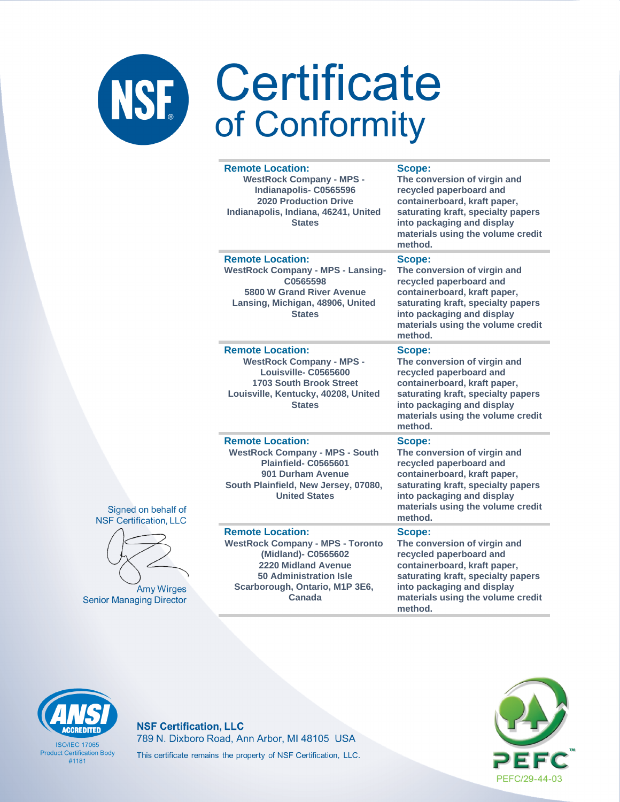|          | <b>Remote Location:</b><br><b>WestRock Company - MPS -</b><br>Indianapolis-C0565596<br><b>2020 Production Drive</b><br>Indianapolis, Indiana, 46241, United<br><b>States</b>                  | Scope:<br>The conversion of virgin and<br>recycled paperboard and<br>containerboard, kraft paper,<br>saturating kraft, specialty papers<br>into packaging and display<br>materials using the volume credit<br>method. |
|----------|-----------------------------------------------------------------------------------------------------------------------------------------------------------------------------------------------|-----------------------------------------------------------------------------------------------------------------------------------------------------------------------------------------------------------------------|
|          | <b>Remote Location:</b><br><b>WestRock Company - MPS - Lansing-</b><br>C0565598<br>5800 W Grand River Avenue<br>Lansing, Michigan, 48906, United<br><b>States</b>                             | Scope:<br>The conversion of virgin and<br>recycled paperboard and<br>containerboard, kraft paper,<br>saturating kraft, specialty papers<br>into packaging and display<br>materials using the volume credit<br>method. |
|          | <b>Remote Location:</b><br><b>WestRock Company - MPS -</b><br>Louisville-C0565600<br><b>1703 South Brook Street</b><br>Louisville, Kentucky, 40208, United<br><b>States</b>                   | Scope:<br>The conversion of virgin and<br>recycled paperboard and<br>containerboard, kraft paper,<br>saturating kraft, specialty papers<br>into packaging and display<br>materials using the volume credit<br>method. |
| of<br>Ċ  | <b>Remote Location:</b><br><b>WestRock Company - MPS - South</b><br>Plainfield-C0565601<br>901 Durham Avenue<br>South Plainfield, New Jersey, 07080,<br><b>United States</b>                  | Scope:<br>The conversion of virgin and<br>recycled paperboard and<br>containerboard, kraft paper,<br>saturating kraft, specialty papers<br>into packaging and display<br>materials using the volume credit<br>method. |
| ЭS<br>br | <b>Remote Location:</b><br><b>WestRock Company - MPS - Toronto</b><br>(Midland)- C0565602<br>2220 Midland Avenue<br><b>50 Administration Isle</b><br>Scarborough, Ontario, M1P 3E6,<br>Canada | Scope:<br>The conversion of virgin and<br>recycled paperboard and<br>containerboard, kraft paper,<br>saturating kraft, specialty papers<br>into packaging and display<br>materials using the volume credit            |

method.





**Amy Wirge Senior Managing Directo** 

# **ACCREDITED**

**ISO/IEC 17065 Product Certification Body**  $#1181$ 

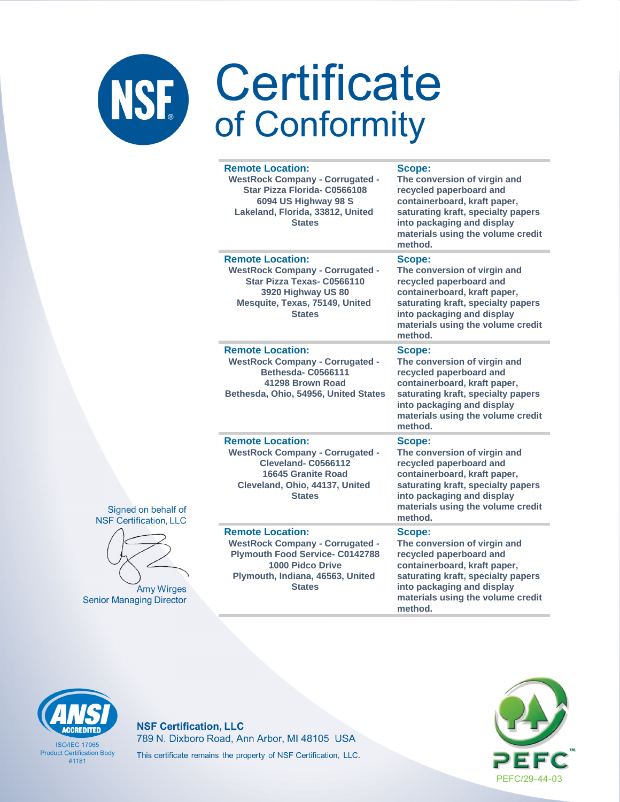|                      | <b>Remote Location:</b><br><b>WestRock Company - Corrugated -</b><br>Star Pizza Florida- C0566108<br>6094 US Highway 98 S<br>Lakeland, Florida, 33812, United<br><b>States</b>       | Scope:<br>The conversion of virgin and<br>recycled paperboard and<br>containerboard, kraft paper,<br>saturating kraft, specialty papers<br>into packaging and display<br>materials using the volume credit<br>method. |
|----------------------|--------------------------------------------------------------------------------------------------------------------------------------------------------------------------------------|-----------------------------------------------------------------------------------------------------------------------------------------------------------------------------------------------------------------------|
|                      | <b>Remote Location:</b><br><b>WestRock Company - Corrugated -</b><br>Star Pizza Texas- C0566110<br>3920 Highway US 80<br>Mesquite, Texas, 75149, United<br><b>States</b>             | Scope:<br>The conversion of virgin and<br>recycled paperboard and<br>containerboard, kraft paper,<br>saturating kraft, specialty papers<br>into packaging and display<br>materials using the volume credit<br>method. |
|                      | <b>Remote Location:</b><br><b>WestRock Company - Corrugated -</b><br>Bethesda-C0566111<br>41298 Brown Road<br>Bethesda, Ohio, 54956, United States                                   | Scope:<br>The conversion of virgin and<br>recycled paperboard and<br>containerboard, kraft paper,<br>saturating kraft, specialty papers<br>into packaging and display<br>materials using the volume credit<br>method. |
| alf of<br><b>LLC</b> | <b>Remote Location:</b><br><b>WestRock Company - Corrugated -</b><br>Cleveland-C0566112<br>16645 Granite Road<br>Cleveland, Ohio, 44137, United<br><b>States</b>                     | Scope:<br>The conversion of virgin and<br>recycled paperboard and<br>containerboard, kraft paper,<br>saturating kraft, specialty papers<br>into packaging and display<br>materials using the volume credit<br>method. |
| irges<br>ector       | <b>Remote Location:</b><br><b>WestRock Company - Corrugated -</b><br><b>Plymouth Food Service- C0142788</b><br>1000 Pidco Drive<br>Plymouth, Indiana, 46563, United<br><b>States</b> | Scope:<br>The conversion of virgin and<br>recycled paperboard and<br>containerboard, kraft paper,<br>saturating kraft, specialty papers<br>into packaging and display<br>materials using the volume credit<br>method. |





Amy Wi **Senior Managing Dire** 

# **ACCREDITED**

**ISO/IEC 17065 Product Certification Body**  $#1181$ 

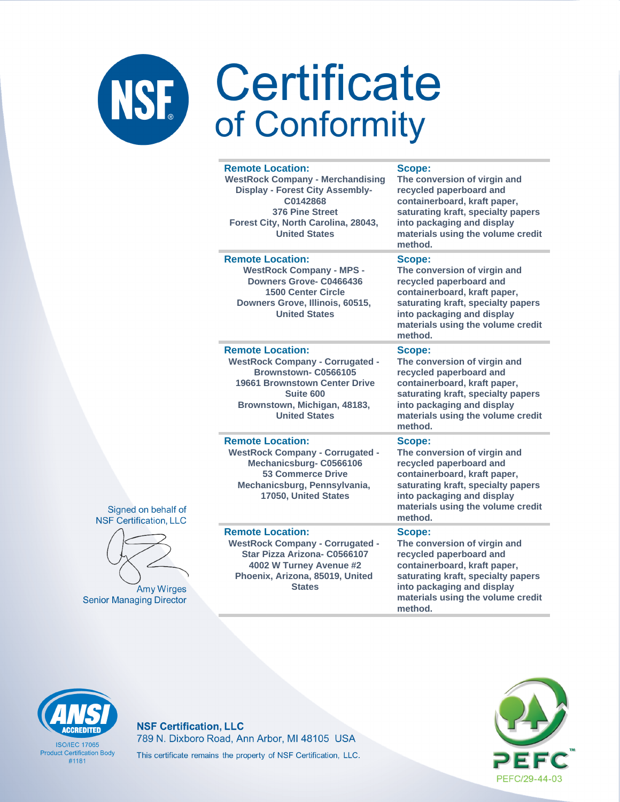### NSF Certificate of Conformity

### **Remote Location:**

**WestRock Company - Merchandising Display - Forest City Assembly-C0142868 376 Pine Street Forest City, North Carolina, 28043, United States**

### **Remote Location: WestRock Company - MPS -**

**Downers Grove- C0466436 1500 Center Circle Downers Grove, Illinois, 60515, United States**

### **Remote Location:**

**WestRock Company - Corrugated - Brownstown- C0566105 19661 Brownstown Center Drive Suite 600 Brownstown, Michigan, 48183, United States**

### **Remote Location:**

**WestRock Company - Corrugated - Mechanicsburg- C0566106 53 Commerce Drive Mechanicsburg, Pennsylvania, 17050, United States**

### **Remote Location:**

**WestRock Company - Corrugated - Star Pizza Arizona- C0566107 4002 W Turney Avenue #2 Phoenix, Arizona, 85019, United States**

### **Scope:**

**The conversion of virgin and recycled paperboard and containerboard, kraft paper, saturating kraft, specialty papers into packaging and display materials using the volume credit method.**

### **Scope:**

**The conversion of virgin and recycled paperboard and containerboard, kraft paper, saturating kraft, specialty papers into packaging and display materials using the volume credit method.**

### **Scope:**

**The conversion of virgin and recycled paperboard and containerboard, kraft paper, saturating kraft, specialty papers into packaging and display materials using the volume credit method.**

### **Scope:**

**The conversion of virgin and recycled paperboard and containerboard, kraft paper, saturating kraft, specialty papers into packaging and display materials using the volume credit method.**

### **Scope:**

**The conversion of virgin and recycled paperboard and containerboard, kraft paper, saturating kraft, specialty papers into packaging and display materials using the volume credit method.**



**ISO/IFC 17065 Product Certification Body** #1181

### **NSF Certification, LLC** 789 N. Dixboro Road, Ann Arbor, MI 48105 USA This certificate remains the property of NSF Certification, LLC.





Signed on behalf of

**Amy Wirges Senior Managing Director**